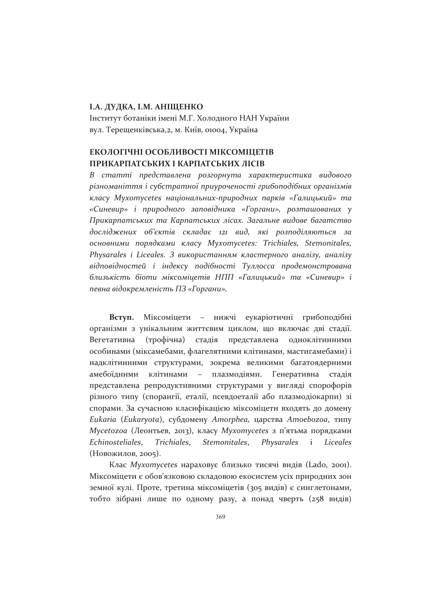### **I.A. ДУДКА, I.M. АНІЩЕНКО**

Інститут ботаніки імені М.Г. Холодного НАН України вул. Терещенківська, 2, м. Київ, 01004, Україна

### ЕКОЛОГІЧНІ ОСОБЛИВОСТІ МІКСОМІЦЕТІВ ПРИКАРПАТСЬКИХ І КАРПАТСЬКИХ ЛІСІВ

В статті представлена розгорнута характеристика видового різноманіття і субстратної приуроченості грибоподібних організмів класу Myxomycetes національних-природних парків «Галицький» та «Синевир» і природного заповідника «Горгани», розташованих у Прикарпатських та Карпатських лісах. Загальне видове багатство досліджених об'єктів складає 121 вид, які розподіляються за основними порядками класу Myxomycetes: Trichiales, Stemonitales, Physarales i Liceales. З використанням кластерного аналізу, аналізу відповідностей і індексу подібності Туллосса продемонстрована близькість біоти міксоміцетів НПП «Галицький» та «Синевир» і певна відокремленість ПЗ «Горгани».

Міксоміцети - нижчі еукаріотичні Вступ. грибоподібні організми з унікальним життєвим циклом, що включає дві стадії. (трофічна) стадія представлена одноклітинними Вегетативна особинами (міксамебами, флагелятними клітинами, мастигамебами) і надклітинними структурами, зокрема великими багатоядерними амебоїдними клітинами  $\sim$   $$ плазмодіями. Генеративна стадія представлена репродуктивними структурами у вигляді спорофорів різного типу (спорангії, еталії, псевдоеталії або плазмодіокарпи) зі спорами. За сучасною класифікацією міксоміцети входять до домену Eukaria (Eukaryota), субдомену Amorphea, царства Amoebozoa, типу Mycetozoa (Леонтьев, 2013), класу Myxomycetes з п'ятьма порядками Echinosteliales. Trichiales, Stemonitales, Physarales  $\mathbf{i}$ Liceales (Новожилов, 2005).

Клас *Мухотусе ез* нараховує близько тисячі видів (Lado, 2001). Міксоміцети є обов'язковою складовою екосистем усіх природних зон земної кулі. Проте, третина міксоміцетів (305 видів) є синглетонами, тобто зібрані лише по одному разу, а понад чверть (258 видів)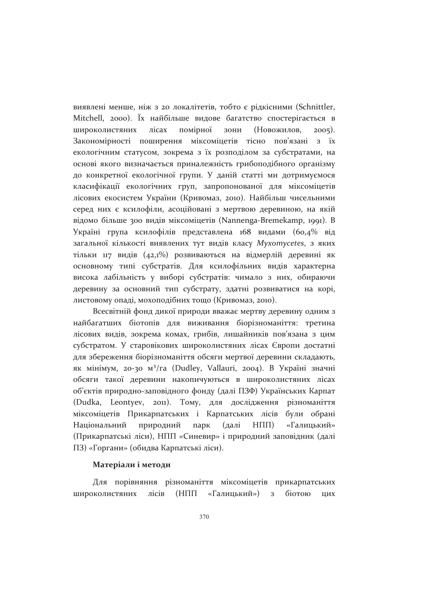виявлені менше, ніж з 20 локалітетів, тобто є рідкісними (Schnittler, Mitchell, 2000). Їх найбільше видове багатство спостерігається в широколистяних лісах помірної зони (Новожилов.  $2005$ ). Закономірності поширення міксоміцетів тісно пов'язані з їх екологічним статусом, зокрема з їх розподілом за субстратами, на основі якого визначається приналежність грибоподібного організму до конкретної екологічної групи. У даній статті ми дотримуємося класифікації екологічних груп, запропонованої для міксоміцетів лісових екосистем України (Кривомаз, 2010). Найбільш чисельними серед них є ксилофіли, асоційовані з мертвою деревиною, на якій відомо більше 300 видів міксоміцетів (Nannenga-Bremekamp, 1991). В Україні група ксилофілів представлена 168 видами (60,4% від загальної кількості виявлених тут видів класу Myxomycetes, з яких тільки 117 видів (42,1%) розвиваються на відмерлій деревині як основному типі субстратів. Для ксилофільних видів характерна висока лабільність у виборі субстратів: чимало з них, обираючи деревину за основний тип субстрату, здатні розвиватися на корі, листовому опаді, мохоподібних тощо (Кривомаз, 2010).

Всесвітній фонд дикої природи вважає мертву деревину одним з найбагатших біотопів для виживання біорізноманіття: третина лісових видів, зокрема комах, грибів, лишайників пов'язана з цим субстратом. У старовікових широколистяних лісах Європи достатні для збереження біорізноманіття обсяги мертвої деревини складають, як мінімум, 20-30 м<sup>3</sup>/га (Dudley, Vallauri, 2004). В Україні значні обсяги такої деревини накопичуються в широколистяних лісах об'єктів природно-заповідного фонду (далі ПЗФ) Українських Карпат (Dudka, Leontyev, 2011). Тому, для дослідження різноманіття міксоміцетів Прикарпатських і Карпатських лісів були обрані Національний природний парк (далі  $H\Pi\Pi$ «Галицький» (Прикарпатські ліси), НПП «Синевир» і природний заповідник (далі ПЗ) «Горгани» (обидва Карпатські ліси).

### Матеріали і методи

Для порівняння різноманіття міксоміцетів прикарпатських широколистяних лісів (НПП «Галицький») з біотою ЦИХ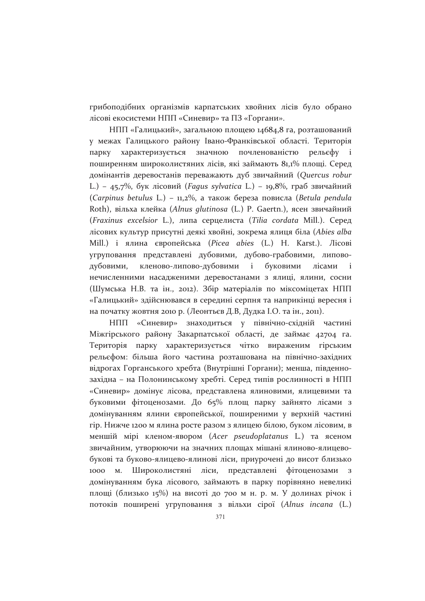грибоподібних організмів карпатських хвойних лісів було обрано лісові екосистеми НПП «Синевир» та ПЗ «Горгани».

НПП «Галицький», загальною площею 14684,8 га, розташований у межах Галицького району Івано-Франківської області. Територія характеризується значною почленованістю рельєфу і парку поширенням широколистяних лісів, які займають 81,1% площі. Серед домінантів деревостанів переважають дуб звичайний (Quercus robur L.) - 45,7%, бук лісовий (Fagus sylvatica L.) - 19,8%, граб звичайний (Carpinus betulus L.) - 11,2%, а також береза повисла (Betula pendula Roth), вільха клейка (Alnus glutinosa (L.) Р. Gaertn.), ясен звичайний (Fraxinus excelsior L.), липа серцелиста (Tilia cordata Mill.). Серед лісових культур присутні деякі хвойні, зокрема ялиця біла (Abies alba Mill.) і ялина європейська (Picea abies (L.) Н. Karst.). Лісові угруповання представлені дубовими, дубово-грабовими, липоводубовими, кленово-липово-дубовими і буковими лісами  $\mathbf{i}$ нечисленними насадженими деревостанами з ялиці, ялини, сосни (Шумська Н.В. та ін., 2012). Збір матеріалів по міксоміцетах НПП «Галицький» здійснювався в середині серпня та наприкінці вересня і на початку жовтня 2010 р. (Леонтьєв Д.В, Дудка І.О. та ін., 2011).

НПП «Синевир» знаходиться у північно-східній частині Міжгірського району Закарпатської області, де займає 42704 га. Територія парку характеризується чітко вираженим гірським рельєфом: більша його частина розташована на північно-західних відрогах Горганського хребта (Внутрішні Горгани); менша, південнозахідна - на Полонинському хребті. Серед типів рослинності в НПП «Синевир» домінує лісова, представлена ялиновими, ялицевими та буковими фітоценозами. До 65% площ парку зайнято лісами з домінуванням ялини європейської, поширеними у верхній частині гір. Нижче 1200 м ялина росте разом з ялицею білою, буком лісовим, в меншій мірі кленом-явором (Acer pseudoplatanus L.) та ясеном звичайним, утворюючи на значних площах мішані ялиново-ялицевобукові та буково-ялицево-ялинові ліси, приурочені до висот близько 1000  $M<sub>1</sub>$ Широколистяні ліси, представлені фітоценозами  $\overline{\mathbf{3}}$ домінуванням бука лісового, займають в парку порівняно невеликі площі (близько 15%) на висоті до 700 м н. р. м. У долинах річок і потоків поширені угруповання з вільхи сірої (Alnus incana (L.)

371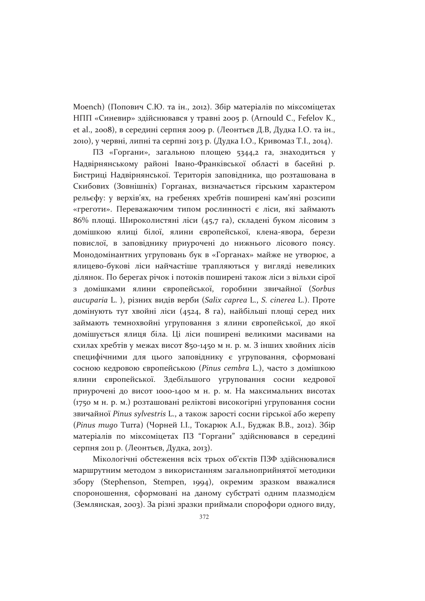Moench) (Попович С.Ю. та ін., 2012). Збір матеріалів по міксоміцетах НПП «Синевир» здійснювався у травні 2005 р. (Arnould C., Fefelov K., et al., 2008), в середині серпня 2009 р. (Леонтьєв Д.В, Дудка І.О. та ін., 2010), у червні, липні та серпні 2013 р. (Дудка I.O., Кривомаз Т.I., 2014).

ПЗ «Горгани», загальною площею 5344,2 га, знаходиться у Надвірнянському районі Івано-Франківської області в басейні р. Бистриці Надвірнянської. Територія заповідника, що розташована в Скибових (Зовнішніх) Горганах, визначається гірським характером рельєфу: у верхів'ях, на гребенях хребтів поширені кам'яні розсипи «греготи». Переважаючим типом рослинності є ліси, які займають 86% площі. Широколистяні ліси (45,7 га), складені буком лісовим з домішкою ялиці білої, ялини європейської, клена-явора, берези повислої, в заповіднику приурочені до нижнього лісового поясу. Монодомінантних угруповань бук в «Горганах» майже не утворює, а ялицево-букові ліси найчастіше трапляються у вигляді невеликих ділянок. По берегах річок і потоків поширені також ліси з вільхи сірої з домішками ялини європейської, горобини звичайної (Sorbus aucuparia L.), різних видів верби (Salix caprea L., S. cinerea L.). Проте домінують тут хвойні ліси (4524, 8 га), найбільші площі серед них займають темнохвойні угруповання з ялини європейської, до якої домішується ялиця біла. Ці ліси поширені великими масивами на схилах хребтів у межах висот 850-1450 м н. р. м. З інших хвойних лісів специфічними для цього заповіднику є угруповання, сформовані сосною кедровою європейською (Pinus cembra L.), часто з домішкою ялини європейської. Здебільшого угруповання сосни кедрової приурочені до висот 1000-1400 м н. р. м. На максимальних висотах (1750 м н. р. м.) розташовані реліктові високогірні угруповання сосни звичайної Pinus sylvestris L., а також зарості сосни гірської або жерепу (Pinus mugo Turra) (Чорней I.I., Токарюк A.I., Буджак В.В., 2012). Збір матеріалів по міксоміцетах ПЗ "Горгани" здійснювався в середині серпня 2011 р. (Леонтьєв, Дудка, 2013).

Мікологічні обстеження всіх трьох об'єктів ПЗФ здійснювалися маршрутним методом з використанням загальноприйнятої методики збору (Stephenson, Stempen, 1994), окремим зразком вважалися спороношення, сформовані на даному субстраті одним плазмодієм (Землянская, 2003). За різні зразки приймали спорофори одного виду,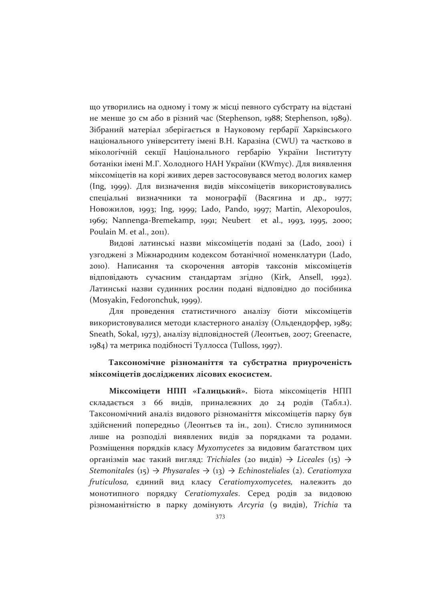що утворились на одному і тому ж місці певного субстрату на відстані не менше зо см або в різний час (Stephenson, 1988; Stephenson, 1989). Зібраний матеріал зберігається в Науковому гербарії Харківського національного університету імені В.Н. Каразіна (CWU) та частково в мікологічній секції Національного гербарію України Інституту ботаніки імені М.Г. Холодного НАН України (KWmyc). Для виявлення міксоміцетів на корі живих дерев застосовувався метод вологих камер (Ing, 1999). Для визначення видів міксоміцетів використовувались спеціальні визначники та монографії (Васягина и др., 1977; Новожилов, 1993; Ing, 1999; Lado, Pando, 1997; Martin, Alexopoulos, 1969; Nannenga-Bremekamp, 1991; Neubert et al., 1993, 1995, 2000; Poulain M. et al., 2011).

Видові латинські назви міксоміцетів подані за (Lado, 2001) і узгоджені з Міжнародним кодексом ботанічної номенклатури (Lado, 2010). Написання та скорочення авторів таксонів міксоміцетів відповідають сучасним стандартам згідно (Kirk, Ansell, 1992). Латинські назви судинних рослин подані відповідно до посібника (Mosyakin, Fedoronchuk, 1999).

Для проведення статистичного аналізу біоти міксоміцетів використовувалися методи кластерного аналізу (Ольдендорфер, 1989; Sneath, Sokal, 1973), аналізу відповідностей (Леонтьев, 2007; Greenacre, 1984) та метрика подібності Туллосса (Tulloss, 1997).

### Таксономічне різноманіття та субстратна приуроченість міксоміцетів досліджених лісових екосистем.

Міксоміцети НПП «Галицький». Біота міксоміцетів НПП складається з 66 видів, приналежних до 24 родів (Табл.1). Таксономічний аналіз видового різноманіття міксоміцетів парку був здійснений попередньо (Леонтьєв та ін., 2011). Стисло зупинимося лише на розподілі виявлених видів за порядками та родами. Розміщення порядків класу Myxomycetes за видовим багатством цих організмів має такий вигляд: Trichiales (20 видів)  $\rightarrow$  Liceales (15)  $\rightarrow$ Stemonitales (15)  $\rightarrow$  Physarales  $\rightarrow$  (13)  $\rightarrow$  Echinosteliales (2). Ceratiomyxa fruticulosa, єдиний вид класу Ceratiomyxomycetes, належить до монотипного порядку Ceratiomyxales. Серед родів за видовою різноманітністю в парку домінують Arcyria (9 видів), Trichia та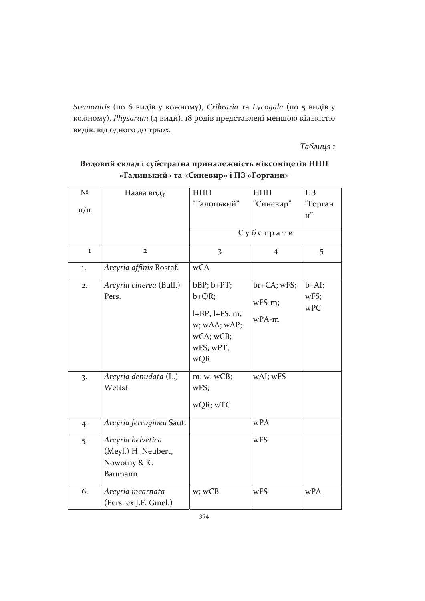Stemonitis (по 6 видів у кожному), Cribraria та Lycogala (по 5 видів у кожному), Physarum (4 види). 18 родів представлені меншою кількістю видів: від одного до трьох.

Таблиия 1

#### Назва виду  $N<sup>2</sup>$  $H\Pi\Pi$  $H\Pi\Pi$  $\Pi$ <sub>3</sub> "Галицький" "Синевир" "Горган  $\pi/\pi$  $\overline{u}$ " Субстрати  $\mathbf{1}$  $\overline{2}$  $\overline{3}$  $\overline{4}$ 5 Arcyria affinis Rostaf. wCA  $1.$  $bBP$ ;  $b+PT$ ;  $br+CA; wFS;$ Arcyria cinerea (Bull.)  $b+AI$ :  $2.$ **Pers**  $b+OR$  $WFS$  $WFS-m$ :  $wPC$  $l+BP$ ;  $l+FS$ ; m;  $wPA-m$ w; wAA; wAP;  $wCA$ ;  $wCB$ ; wFS; wPT; wQR Arcyria denudata (L.)  $m; w; wCB;$ wAI; wFS  $\overline{3}$ . Wettst  $WFS$ wQR; wTC Arcyria ferruginea Saut.  $wPA$  $4.$ Arcyria helvetica w<sub>FS</sub>  $5.$ (Meyl.) H. Neubert, Nowotny & K. **Baumann** Arcyria incarnata wFS wPA w; wCB 6. (Pers. ex J.F. Gmel.)

Видовий склад і субстратна приналежність міксоміцетів НПП «Галицький» та «Синевир» і ПЗ «Горгани»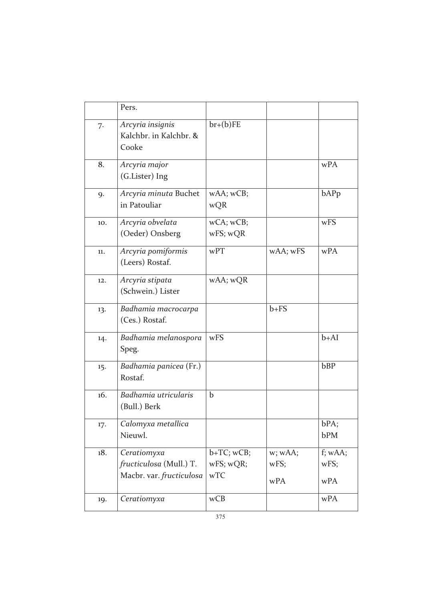|     | Pers.                                                              |                                      |                        |                        |
|-----|--------------------------------------------------------------------|--------------------------------------|------------------------|------------------------|
| 7.  | Arcyria insignis<br>Kalchbr. in Kalchbr. &<br>Cooke                | $br+(b)FE$                           |                        |                        |
| 8.  | Arcyria major<br>(G.Lister) Ing                                    |                                      |                        | wPA                    |
| 9.  | Arcyria minuta Buchet<br>in Patouliar                              | wAA; wCB;<br>wQR                     |                        | bAPp                   |
| 10. | Arcyria obvelata<br>(Oeder) Onsberg                                | wCA; wCB;<br>wFS; wQR                |                        | wFS                    |
| 11. | Arcyria pomiformis<br>(Leers) Rostaf.                              | wPT                                  | wAA; wFS               | wPA                    |
| 12. | Arcyria stipata<br>(Schwein.) Lister                               | wAA; wQR                             |                        |                        |
| 13. | Badhamia macrocarpa<br>(Ces.) Rostaf.                              |                                      | $b + FS$               |                        |
| 14. | Badhamia melanospora<br>Speg.                                      | wFS                                  |                        | $b+AI$                 |
| 15. | Badhamia panicea (Fr.)<br>Rostaf.                                  |                                      |                        | bBP                    |
| 16. | Badhamia utricularis<br>(Bull.) Berk                               | $\mathbf b$                          |                        |                        |
| 17. | Calomyxa metallica<br>Nieuwl.                                      |                                      |                        | bPA;<br>bPM            |
| 18. | Ceratiomyxa<br>fructiculosa (Mull.) T.<br>Macbr. var. fructiculosa | $b+TC$ ; $wCB$ ;<br>wFS; wQR;<br>wTC | w; wAA;<br>wFS;<br>wPA | f; wAA;<br>wFS;<br>wPA |
| 19. | Ceratiomyxa                                                        | wCB                                  |                        | wPA                    |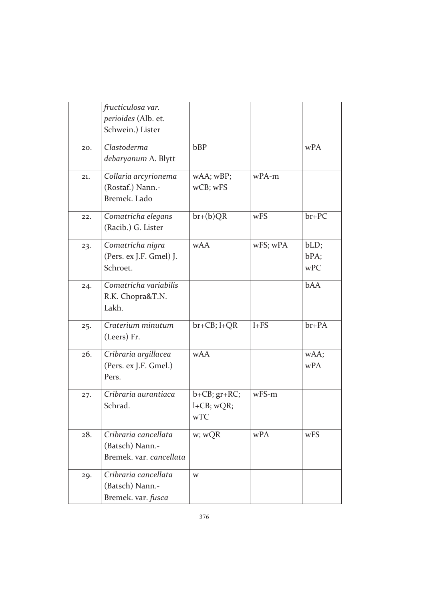|     | fructiculosa var.<br>perioides (Alb. et.<br>Schwein.) Lister       |                                                  |          |                     |
|-----|--------------------------------------------------------------------|--------------------------------------------------|----------|---------------------|
| 20. | Clastoderma<br>debaryanum A. Blytt                                 | bBP                                              |          | wPA                 |
| 21. | Collaria arcyrionema<br>(Rostaf.) Nann.-<br>Bremek. Lado           | wAA; wBP;<br>wCB; wFS                            | wPA-m    |                     |
| 22. | Comatricha elegans<br>(Racib.) G. Lister                           | $br+(b)QR$                                       | wFS      | $br+PC$             |
| 23. | Comatricha nigra<br>(Pers. ex J.F. Gmel) J.<br>Schroet.            | <b>wAA</b>                                       | wFS; wPA | bLD;<br>bPA;<br>wPC |
| 24. | Comatricha variabilis<br>R.K. Chopra&T.N.<br>Lakh.                 |                                                  |          | <b>bAA</b>          |
| 25. | Craterium minutum<br>(Leers) Fr.                                   | $br+CB; l+QR$                                    | $1+FS$   | $br+PA$             |
| 26. | Cribraria argillacea<br>(Pers. ex J.F. Gmel.)<br>Pers.             | <b>wAA</b>                                       |          | wAA;<br>wPA         |
| 27. | Cribraria aurantiaca<br>Schrad.                                    | $b + CB$ ; $gr + RC$ ;<br>$l + CB$ ; wQR;<br>wTC | $wFS-m$  |                     |
| 28. | Cribraria cancellata<br>(Batsch) Nann.-<br>Bremek. var. cancellata | w; wQR                                           | wPA      | wFS                 |
| 29. | Cribraria cancellata<br>(Batsch) Nann.-<br>Bremek. var. fusca      | W                                                |          |                     |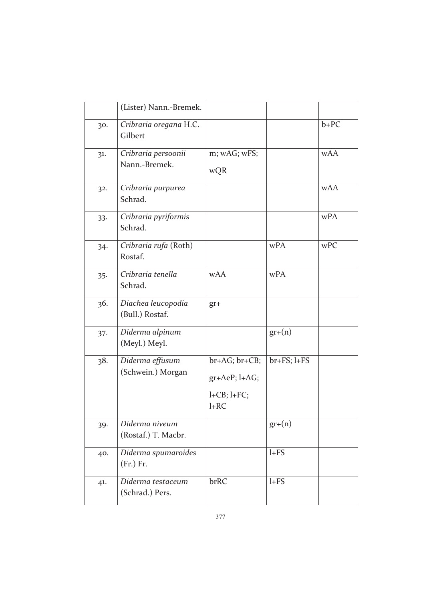|        | (Lister) Nann.-Bremek.                |                                                                       |               |            |
|--------|---------------------------------------|-----------------------------------------------------------------------|---------------|------------|
| 30.    | Cribraria oregana H.C.<br>Gilbert     |                                                                       |               | $b+PC$     |
| 31.    | Cribraria persoonii<br>Nann.-Bremek.  | m; wAG; wFS;<br>wQR                                                   |               | <b>wAA</b> |
| 32.    | Cribraria purpurea<br>Schrad.         |                                                                       |               | <b>wAA</b> |
| 33.    | Cribraria pyriformis<br>Schrad.       |                                                                       |               | wPA        |
| 34.    | Cribraria rufa (Roth)<br>Rostaf.      |                                                                       | wPA           | wPC        |
| 35.    | Cribraria tenella<br>Schrad.          | <b>wAA</b>                                                            | wPA           |            |
| 36.    | Diachea leucopodia<br>(Bull.) Rostaf. | $gr +$                                                                |               |            |
| $37 -$ | Diderma alpinum<br>(Meyl.) Meyl.      |                                                                       | $gr+(n)$      |            |
| 38.    | Diderma effusum<br>(Schwein.) Morgan  | $br+AG; br+CB;$<br>$gr+AeP; l+AG;$<br>$l + CB$ ; $l + FC$ ;<br>$l+RC$ | $br+FS; l+FS$ |            |
| 39.    | Diderma niveum<br>(Rostaf.) T. Macbr. |                                                                       | $gr+(n)$      |            |
| 40.    | Diderma spumaroides<br>(Fr.) Fr.      |                                                                       | $l + FS$      |            |
| 41.    | Diderma testaceum<br>(Schrad.) Pers.  | brRC                                                                  | $1+FS$        |            |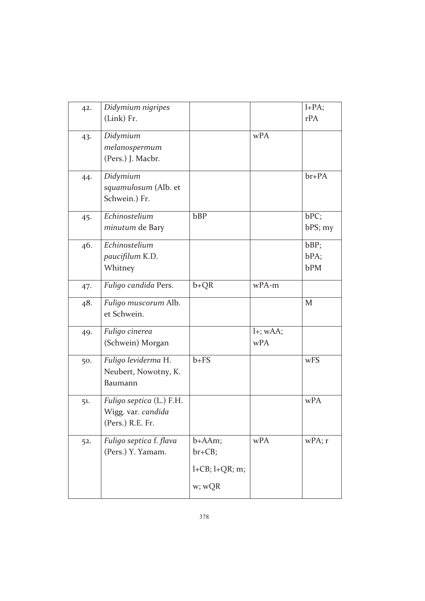| 42. | Didymium nigripes        |                          |             | $l+PA;$   |
|-----|--------------------------|--------------------------|-------------|-----------|
|     | (Link) Fr.               |                          |             | rPA       |
| 43. | Didymium                 |                          | wPA         |           |
|     | melanospermum            |                          |             |           |
|     | (Pers.) J. Macbr.        |                          |             |           |
| 44. | Didymium                 |                          |             | $br+PA$   |
|     | squamulosum (Alb. et     |                          |             |           |
|     | Schwein.) Fr.            |                          |             |           |
| 45. | Echinostelium            | bBP                      |             | bPC;      |
|     | minutum de Bary          |                          |             | bPS; my   |
| 46. | Echinostelium            |                          |             | bBP;      |
|     | paucifilum K.D.          |                          |             | bPA;      |
|     | Whitney                  |                          |             | bPM       |
| 47. | Fuligo candida Pers.     | $b+QR$                   | wPA-m       |           |
| 48. | Fuligo muscorum Alb.     |                          |             | M         |
|     | et Schwein.              |                          |             |           |
| 49. | Fuligo cinerea           |                          | $l+$ ; wAA; |           |
|     | (Schwein) Morgan         |                          | wPA         |           |
| 50. | Fuligo leviderma H.      | $b + FS$                 |             | wFS       |
|     | Neubert, Nowotny, K.     |                          |             |           |
|     | Baumann                  |                          |             |           |
| 51. | Fuligo septica (L.) F.H. |                          |             | wPA       |
|     | Wigg. var. candida       |                          |             |           |
|     | (Pers.) R.E. Fr.         |                          |             |           |
| 52. | Fuligo septica f. flava  | $b + AAm;$               | wPA         | $wPA$ ; r |
|     | (Pers.) Y. Yamam.        | $br + CB;$               |             |           |
|     |                          | $l + CB$ ; $l + QR$ ; m; |             |           |
|     |                          | w; wQR                   |             |           |
|     |                          |                          |             |           |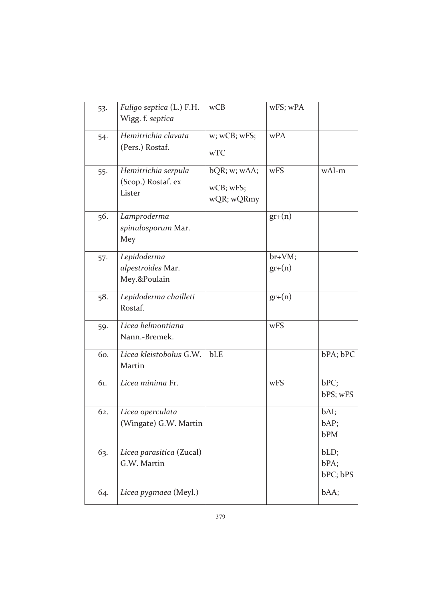| 53.   | Fuligo septica (L.) F.H.<br>Wigg. f. septica        | wCB                                     | wFS; wPA           |                          |
|-------|-----------------------------------------------------|-----------------------------------------|--------------------|--------------------------|
| 54.   | Hemitrichia clavata<br>(Pers.) Rostaf.              | w; wCB; wFS;<br>wTC                     | wPA                |                          |
| $55-$ | Hemitrichia serpula<br>(Scop.) Rostaf. ex<br>Lister | bQR; w; wAA;<br>wCB; wFS;<br>wQR; wQRmy | wFS                | wAI-m                    |
| 56.   | Lamproderma<br>spinulosporum Mar.<br>Mey            |                                         | $gr+(n)$           |                          |
| 57.   | Lepidoderma<br>alpestroides Mar.<br>Mey.&Poulain    |                                         | br+VM;<br>$gr+(n)$ |                          |
| 58.   | Lepidoderma chailleti<br>Rostaf.                    |                                         | $gr+(n)$           |                          |
| 59.   | Licea belmontiana<br>Nann.-Bremek.                  |                                         | wFS                |                          |
| 60.   | Licea kleistobolus G.W.<br>Martin                   | bLE                                     |                    | bPA; bPC                 |
| 61.   | Licea minima Fr.                                    |                                         | wFS                | bPC;<br>bPS; wFS         |
| 62.   | Licea operculata<br>(Wingate) G.W. Martin           |                                         |                    | bAI;<br>bAP;<br>bPM      |
| 63.   | Licea parasitica (Zucal)<br>G.W. Martin             |                                         |                    | bLD;<br>bPA;<br>bPC; bPS |
| 64.   | Licea pygmaea (Meyl.)                               |                                         |                    | bAA;                     |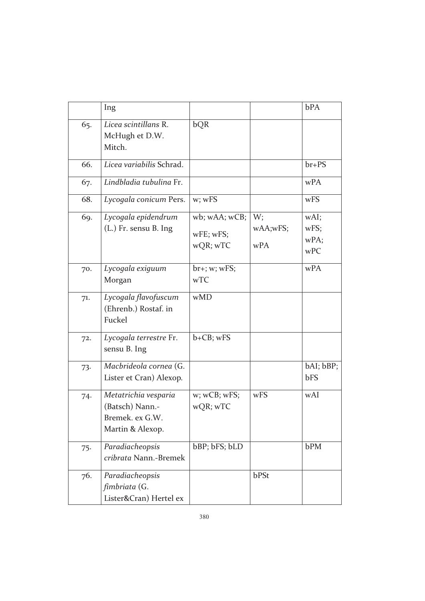|     | Ing                                                                            |                                        |                       | bPA                         |
|-----|--------------------------------------------------------------------------------|----------------------------------------|-----------------------|-----------------------------|
| 65. | Licea scintillans R.<br>McHugh et D.W.<br>Mitch.                               | bQR                                    |                       |                             |
| 66. | Licea variabilis Schrad.                                                       |                                        |                       | $br+PS$                     |
| 67. | Lindbladia tubulina Fr.                                                        |                                        |                       | wPA                         |
| 68. | Lycogala conicum Pers.                                                         | w; wFS                                 |                       | wFS                         |
| 69. | Lycogala epidendrum<br>(L.) Fr. sensu B. Ing                                   | wb; wAA; wCB;<br>wFE; wFS;<br>wQR; wTC | W;<br>wAA;wFS;<br>wPA | wAI;<br>wFS;<br>wPA;<br>wPC |
| 70. | Lycogala exiguum<br>Morgan                                                     | $br{+}$ ; w; wFS;<br>wTC               |                       | wPA                         |
| 71. | Lycogala flavofuscum<br>(Ehrenb.) Rostaf. in<br>Fuckel                         | wMD                                    |                       |                             |
| 72. | Lycogala terrestre Fr.<br>sensu B. Ing                                         | b+CB; wFS                              |                       |                             |
| 73. | Macbrideola cornea (G.<br>Lister et Cran) Alexop.                              |                                        |                       | bAI; bBP;<br>bFS            |
| 74. | Metatrichia vesparia<br>(Batsch) Nann.-<br>Bremek. ex G.W.<br>Martin & Alexop. | $w$ ; $wCB$ ; $wFS$ ;<br>wQR; wTC      | wFS                   | wAI                         |
| 75. | Paradiacheopsis<br>cribrata Nann.-Bremek                                       | bBP; bFS; bLD                          |                       | bPM                         |
| 76. | Paradiacheopsis<br>fimbriata (G.<br>Lister&Cran) Hertel ex                     |                                        | bPSt                  |                             |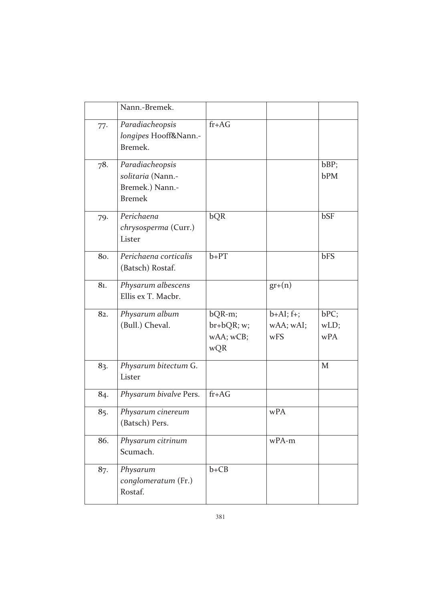|     | Nann.-Bremek.                                                            |                                          |                                 |                     |
|-----|--------------------------------------------------------------------------|------------------------------------------|---------------------------------|---------------------|
| 77. | Paradiacheopsis<br>longipes Hooff&Nann.-<br>Bremek.                      | $fr+AG$                                  |                                 |                     |
| 78. | Paradiacheopsis<br>solitaria (Nann.-<br>Bremek.) Nann.-<br><b>Bremek</b> |                                          |                                 | bBP;<br>bPM         |
| 79. | Perichaena<br>chrysosperma (Curr.)<br>Lister                             | bQR                                      |                                 | bSF                 |
| 80. | Perichaena corticalis<br>(Batsch) Rostaf.                                | $b+PT$                                   |                                 | bFS                 |
| 81. | Physarum albescens<br>Ellis ex T. Macbr.                                 |                                          | $gr+(n)$                        |                     |
| 82. | Physarum album<br>(Bull.) Cheval.                                        | bQR-m;<br>br+bQR; w;<br>wAA; wCB;<br>wQR | $b+AI; f+;$<br>wAA; wAI;<br>wFS | bPC;<br>wLD;<br>wPA |
| 83. | Physarum bitectum G.<br>Lister                                           |                                          |                                 | M                   |
| 84. | Physarum bivalve Pers.                                                   | $fr+AG$                                  |                                 |                     |
| 85. | Physarum cinereum<br>(Batsch) Pers.                                      |                                          | wPA                             |                     |
| 86. | Physarum citrinum<br>Scumach.                                            |                                          | wPA-m                           |                     |
| 87. | Physarum<br>conglomeratum (Fr.)<br>Rostaf.                               | $b + CB$                                 |                                 |                     |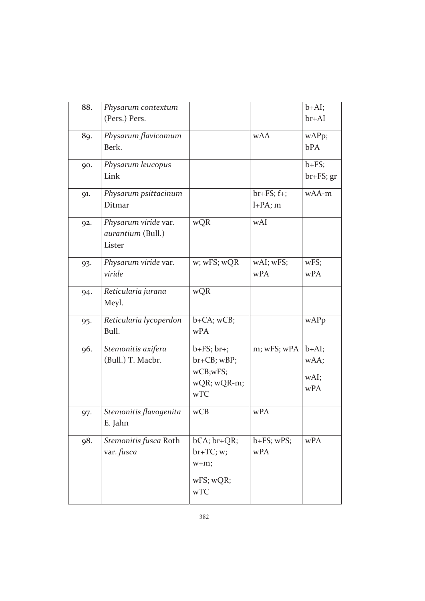| 88. | Physarum contextum<br>(Pers.) Pers.                 |                                                                                     |                           | $b+AI;$<br>$br+AI$             |
|-----|-----------------------------------------------------|-------------------------------------------------------------------------------------|---------------------------|--------------------------------|
| 89. | Physarum flavicomum<br>Berk.                        |                                                                                     | <b>wAA</b>                | wAPp;<br><b>bPA</b>            |
| 90. | Physarum leucopus<br>Link                           |                                                                                     |                           | $b + FS$ ;<br>$br+FS; gr$      |
| 91. | Physarum psittacinum<br>Ditmar                      |                                                                                     | $br+FS; f+;$<br>$l+PA; m$ | wAA-m                          |
| 92. | Physarum viride var.<br>aurantium (Bull.)<br>Lister | wQR                                                                                 | wAI                       |                                |
| 93. | Physarum viride var.<br>viride                      | w; wFS; wQR                                                                         | wAI; wFS;<br>wPA          | wFS;<br>wPA                    |
| 94. | Reticularia jurana<br>Meyl.                         | wQR                                                                                 |                           |                                |
| 95. | Reticularia lycoperdon<br>Bull.                     | $b + CA$ ; wCB;<br>wPA                                                              |                           | wAPp                           |
| 96. | Stemonitis axifera<br>(Bull.) T. Macbr.             | $b + FS$ ; $br +$ ;<br>$br + CB$ ; $wBP$ ;<br>wCB;wFS;<br>wQR; wQR-m;<br><b>wTC</b> | m; wFS; wPA               | $b+AI;$<br>wAA;<br>wAI;<br>wPA |
| 97. | Stemonitis flavogenita<br>E. Jahn                   | wCB                                                                                 | wPA                       |                                |
| 98. | Stemonitis fusca Roth<br>var. fusca                 | $bCA; br+QR;$<br>$br+TC; w;$<br>$w+m;$<br>wFS; wQR;<br>wTC                          | $b + FS$ ; $wPS$ ;<br>wPA | wPA                            |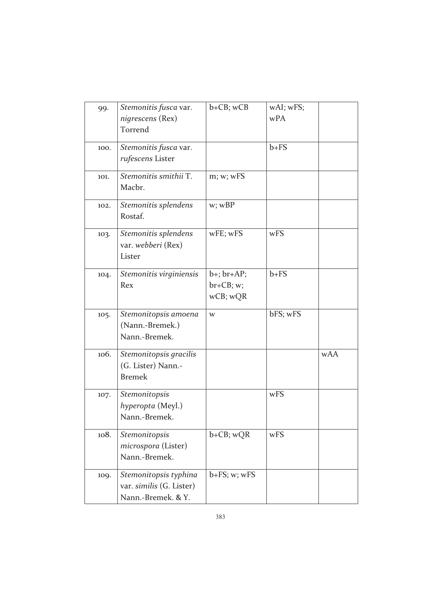| 99.  | Stemonitis fusca var.<br>nigrescens (Rex)<br>Torrend                    | $b + CB$ ; $wCB$                              | wAI; wFS;<br>wPA |            |
|------|-------------------------------------------------------------------------|-----------------------------------------------|------------------|------------|
| 100. | Stemonitis fusca var.<br>rufescens Lister                               |                                               | $b + FS$         |            |
| 101. | Stemonitis smithii T.<br>Macbr.                                         | m; w; wFS                                     |                  |            |
| 102. | Stemonitis splendens<br>Rostaf.                                         | w; wBP                                        |                  |            |
| 103. | Stemonitis splendens<br>var. webberi (Rex)<br>Lister                    | wFE; wFS                                      | wFS              |            |
| 104. | Stemonitis virginiensis<br>Rex                                          | $b+$ ; $br+AP$ ;<br>$br + CB; w;$<br>wCB; wQR | $b + FS$         |            |
| 105. | Stemonitopsis amoena<br>(Nann.-Bremek.)<br>Nann.-Bremek.                | W                                             | bFS; wFS         |            |
| 106. | Stemonitopsis gracilis<br>(G. Lister) Nann.-<br><b>Bremek</b>           |                                               |                  | <b>wAA</b> |
| 107. | Stemonitopsis<br>hyperopta (Meyl.)<br>Nann.-Bremek.                     |                                               | wFS              |            |
| 108. | Stemonitopsis<br>microspora (Lister)<br>Nann.-Bremek.                   | $b+CB$ ; wQR                                  | wFS              |            |
| 109. | Stemonitopsis typhina<br>var. similis (G. Lister)<br>Nann.-Bremek. & Y. | $b + FS$ ; w; wFS                             |                  |            |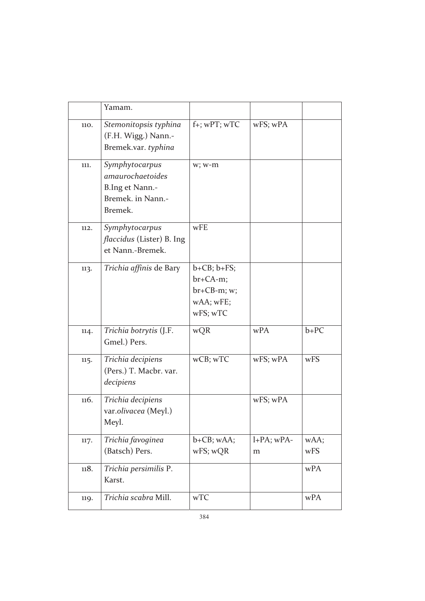|      | Yamam.                                                                                |                                                                       |                    |             |
|------|---------------------------------------------------------------------------------------|-----------------------------------------------------------------------|--------------------|-------------|
| 110. | Stemonitopsis typhina<br>(F.H. Wigg.) Nann.-<br>Bremek.var. typhina                   | f+; wPT; wTC                                                          | wFS; wPA           |             |
| 111. | Symphytocarpus<br>amaurochaetoides<br>B.Ing et Nann.-<br>Bremek. in Nann.-<br>Bremek. | w; w-m                                                                |                    |             |
| 112. | Symphytocarpus<br><i>flaccidus</i> (Lister) B. Ing<br>et Nann.-Bremek.                | wFE                                                                   |                    |             |
| 113. | Trichia affinis de Bary                                                               | $b+CB; b+FS;$<br>$br + CA-m;$<br>br+CB-m; w;<br>wAA; wFE;<br>wFS; wTC |                    |             |
| 114. | Trichia botrytis (J.F.<br>Gmel.) Pers.                                                | wQR                                                                   | wPA                | $b+PC$      |
| 115. | Trichia decipiens<br>(Pers.) T. Macbr. var.<br>decipiens                              | wCB; wTC                                                              | wFS; wPA           | wFS         |
| 116. | Trichia decipiens<br>var.olivacea (Meyl.)<br>Meyl.                                    |                                                                       | wFS; wPA           |             |
| 117. | Trichia favoginea<br>(Batsch) Pers.                                                   | $b + CB$ ; wAA;<br>wFS; wQR                                           | $l+PA$ ; wPA-<br>m | wAA;<br>wFS |
| 118. | Trichia persimilis P.<br>Karst.                                                       |                                                                       |                    | wPA         |
| 119. | Trichia scabra Mill.                                                                  | wTC                                                                   |                    | wPA         |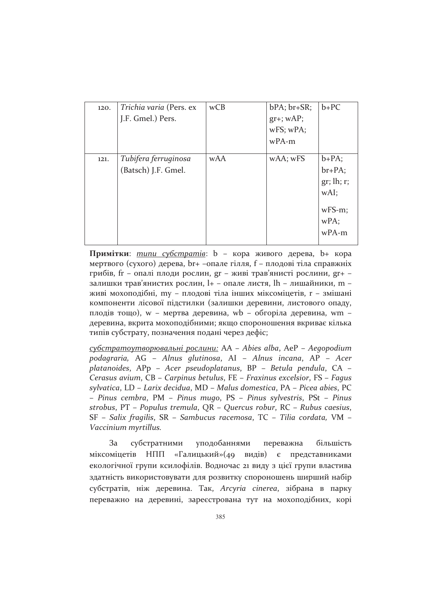| 120. | Trichia varia (Pers. ex | wCB        | $bPA$ ; $br+SR$ ; | $b + PC$   |
|------|-------------------------|------------|-------------------|------------|
|      | J.F. Gmel.) Pers.       |            | $gr+$ ; $wAP$ ;   |            |
|      |                         |            | wFS; wPA;         |            |
|      |                         |            | $wPA-m$           |            |
|      |                         |            |                   |            |
| 121. | Tubifera ferruginosa    | <b>wAA</b> | wAA; wFS          | $b+PA;$    |
|      | (Batsch) J.F. Gmel.     |            |                   | $br+PA;$   |
|      |                         |            |                   | gr; lh; r; |
|      |                         |            |                   | wAI;       |
|      |                         |            |                   |            |
|      |                         |            |                   | $wFS-m$ ;  |
|      |                         |            |                   | wPA;       |
|      |                         |            |                   | $wPA-m$    |
|      |                         |            |                   |            |

Примітки:  $m$ ипи субстратів: b - кора живого дерева, b+ кора мертвого (сухого) дерева, br+ -опале гілля, f - плодові тіла справжніх грибів, fr - опалі плоди рослин, gr - живі трав'янисті рослини, gr+ залишки трав'янистих рослин, l+ - опале листя, lh - лишайники, m живі мохоподібні, my - плодові тіла інших міксоміцетів, r - змішані компоненти лісової підстилки (залишки деревини, листового опаду, плодів тощо), w - мертва деревина, wb - обгоріла деревина, wm деревина, вкрита мохоподібними; якщо спороношення вкриває кілька типів субстрату, позначення подані через дефіс;

субстратоутворювальні рослини: AA - Abies alba, AeP - Aegopodium podagraria, AG - Alnus glutinosa, AI - Alnus incana, AP - Acer platanoides, APp - Acer pseudoplatanus, BP - Betula pendula, CA -Cerasus avium, CB - Carpinus betulus, FE - Fraxinus excelsior, FS - Fagus sylvatica, LD - Larix decidua, MD - Malus domestica, PA - Picea abies, PC - Pinus cembra, PM - Pinus mugo, PS - Pinus sylvestris, PSt - Pinus strobus,  $PT - Populus$  tremula,  $QR - Quercus$  robur,  $RC - Rubus$  caesius, SF - Salix fragilis, SR - Sambucus racemosa, TC - Tilia cordata, VM -Vaccinium myrtillus.

 $3a$ субстратними уподобаннями більшість переважна міксоміцетів НПП «Галицький»(49 видів) є представниками екологічної групи ксилофілів. Водночас 21 виду з цієї групи властива здатність використовувати для розвитку спороношень ширший набір субстратів, ніж деревина. Так, Arcyria cinerea, зібрана в парку переважно на деревині, зареєстрована тут на мохоподібних, корі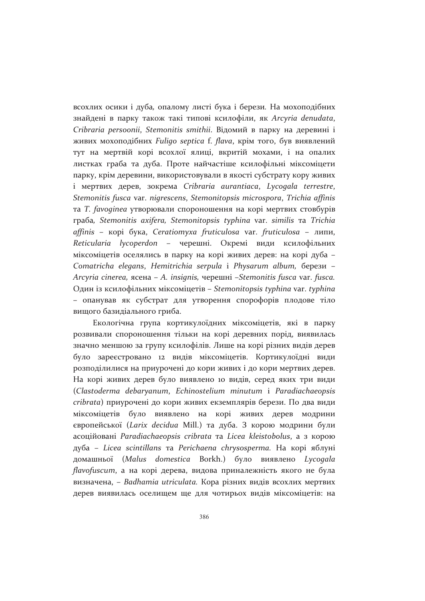всохлих осики і дуба, опалому листі бука і берези. На мохоподібних знайдені в парку також такі типові ксилофіли, як Arcyria denudata, Cribraria persoonii, Stemonitis smithii. Відомий в парку на деревині і живих мохоподібних Fuligo septica f. flava, крім того, був виявлений тут на мертвій корі всохлої ялиці, вкритій мохами, і на опалих листках граба та дуба. Проте найчастіше ксилофільні міксоміцети парку, крім деревини, використовували в якості субстрату кору живих *i* мертвих дерев, зокрема Cribraria aurantiaca, Lycogala terrestre, Stemonitis fusca var. nigrescens, Stemonitopsis microspora, Trichia affinis та Т. favoginea утворювали спороношення на корі мертвих стовбурів rpaбa, Stemonitis axifera, Stemonitopsis typhina var. similis ra Trichia affinis - корі бука, Ceratiomyxa fruticulosa var. fruticulosa - липи, Reticularia lycoperdon - черешні. Окремі види ксилофільних міксоміцетів оселялись в парку на корі живих дерев: на корі дуба -Comatricha elegans, Hemitrichia serpula і Physarum album, берези -Arcyria cinerea, ясена – A. insignis, черешні –Stemonitis fusca var. fusca. Один із ксилофільних міксоміцетів - Stemonitopsis typhina var. typhina - опанував як субстрат для утворення спорофорів плодове тіло вищого базидіального гриба.

Екологічна група кортикулоїдних міксоміцетів, які в парку розвивали спороношення тільки на корі деревних порід, виявилась значно меншою за групу ксилофілів. Лише на корі різних видів дерев було зареєстровано 12 видів міксоміцетів. Кортикулоїдні види розподілилися на приурочені до кори живих і до кори мертвих дерев. На корі живих дерев було виявлено 10 видів, серед яких три види (Clastoderma debaryanum, Echinostelium minutum i Paradiachaeopsis cribrata) приурочені до кори живих екземплярів берези. По два види міксоміцетів було виявлено на корі живих дерев модрини європейської (Larix decidua Mill.) та дуба. З корою модрини були асоційовані Paradiachaeopsis cribrata та Licea kleistobolus, а з корою дуба - Licea scintillans та Perichaena chrysosperma. На корі яблуні домашньої (Malus domestica Borkh.) було виявлено Lycogala *flavofuscum*, а на корі дерева, видова приналежність якого не була визначена, - Badhamia utriculata. Кора різних видів всохлих мертвих дерев виявилась оселищем ще для чотирьох видів міксоміцетів: на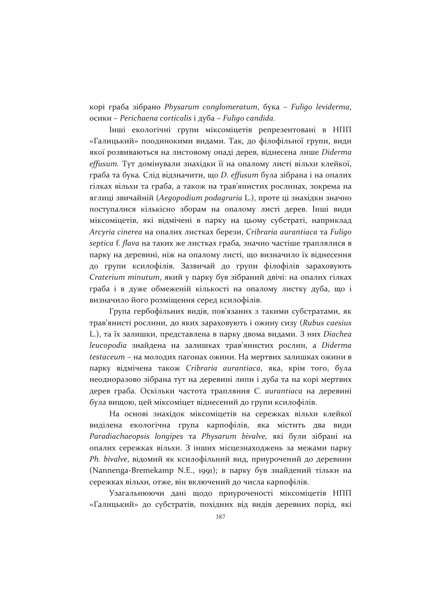корі граба зібрано Physarum conglomeratum, бука - Fuligo leviderma, осики – Perichaena corticalis i дуба – Fuligo candida.

Інші екологічні групи міксоміцетів репрезентовані в НПП «Галицький» поодинокими видами. Так, до філофільної групи, види якої розвиваються на листовому опаді дерев, віднесена лише Diderma effusum. Тут домінували знахідки її на опалому листі вільхи клейкої, граба та бука. Слід відзначити, що D. effusum була зібрана і на опалих гілках вільхи та граба, а також на трав'янистих рослинах, зокрема на яглиці звичайній (Aegopodium podagraria L.), проте ці знахідки значно поступалися кількісно зборам на опалому листі дерев. Інші види міксоміцетів, які відмічені в парку на цьому субстраті, наприклад Arcyria cinerea на опалих листках берези, Cribraria aurantiaca та Fuligo septica f. flava на таких же листках граба, значно частіше траплялися в парку на деревині, ніж на опалому листі, що визначило їх віднесення до групи ксилофілів. Зазвичай до групи філофілів зараховують Craterium minutum, який у парку був зібраний двічі: на опалих гілках граба і в дуже обмеженій кількості на опалому листку дуба, що і визначило його розміщення серед ксилофілів.

Група гербофільних видів, пов'язаних з такими субстратами, як трав'янисті рослини, до яких зараховують і ожину сизу (Rubus caesius L.), та їх залишки, представлена в парку двома видами. З них Diachea leucopodia знайдена на залишках трав'янистих рослин, а Diderma testaceum - на молодих пагонах ожини. На мертвих залишках ожини в парку відмічена також Cribraria aurantiaca, яка, крім того, була неодноразово зібрана тут на деревині липи і дуба та на корі мертвих дерев граба. Оскільки частота трапляння С. aurantiaca на деревині була вищою, цей міксоміцет віднесений до групи ксилофілів.

На основі знахідок міксоміцетів на сережках вільхи клейкої виділена екологічна група карпофілів, яка містить два види Paradiachaeopsis longipes та Physarum bivalve, які були зібрані на опалих сережках вільхи. З інших місцезнаходжень за межами парку Ph. bivalve, відомий як ксилофільний вид, приурочений до деревини (Nannenga-Bremekamp N.E., 1991); в парку був знайдений тільки на сережках вільхи, отже, він включений до числа карпофілів.

Узагальнюючи дані щодо приуроченості міксоміцетів НПП «Галицький» до субстратів, похідних від видів деревних порід, які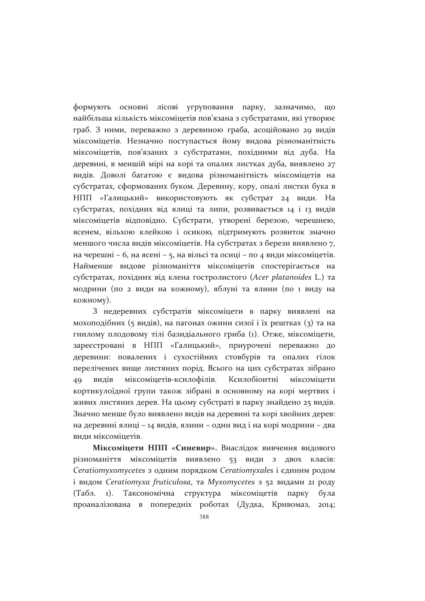формують основні лісові угруповання парку, зазначимо, шо найбільша кількість міксоміцетів пов'язана з субстратами, які утворює граб. З ними, переважно з деревиною граба, асоційовано 29 видів міксоміцетів. Незначно поступається йому видова різноманітність міксоміцетів, пов'язаних з субстратами, похідними від дуба. На деревині, в меншій мірі на корі та опалих листках дуба, виявлено 27 видів. Доволі багатою є видова різноманітність міксоміцетів на субстратах, сформованих буком. Деревину, кору, опалі листки бука в НПП «Галицький» використовують як субстрат 24 види. На субстратах, похідних від ялиці та липи, розвивається 14 і 13 видів міксоміцетів відповідно. Субстрати, утворені березою, черешнею, ясенем, вільхою клейкою і осикою, підтримують розвиток значно меншого числа видів міксоміцетів. На субстратах з берези виявлено 7, на черешні – 6, на ясені – 5, на вільсі та осиці – по 4 види міксоміцетів. Найменше видове різноманіття міксоміцетів спостерігається на субстратах, похідних від клена гостролистого (Acer platanoides L.) та модрини (по 2 види на кожному), яблуні та ялини (по 1 виду на кожному).

3 недеревних субстратів міксоміцети в парку виявлені на мохоподібних (5 видів), на пагонах ожини сизої і їх рештках (3) та на гнилому плодовому тілі базидіального гриба (1). Отже, міксоміцети, зареєстровані в НПП «Галицький», приурочені переважно до деревини: повалених і сухостійних стовбурів та опалих гілок перелічених вище листяних порід. Всього на цих субстратах зібрано видів міксоміцетів-ксилофілів. Ксилобіонтні міксоміцети 49 кортикулоїдної групи також зібрані в основному на корі мертвих і живих листяних дерев. На цьому субстраті в парку знайдено 25 видів. Значно менше було виявлено видів на деревині та корі хвойних дерев: на деревині ялиці – 14 видів, ялини – один вид і на корі модрини – два види міксоміцетів.

Міксоміцети НПП «Синевир». Внаслідок вивчення видового різноманіття міксоміцетів виявлено 53 види з двох класів: Ceratiomyxomycetes з одним порядком Ceratiomyxales і єдиним родом i видом Ceratiomyxa fruticulosa, та Myxomycetes з 52 видами 21 роду (Табл. 1). Таксономічна структура міксоміцетів парку була проаналізована в попередніх роботах (Дудка, Кривомаз,  $2014$ ;

388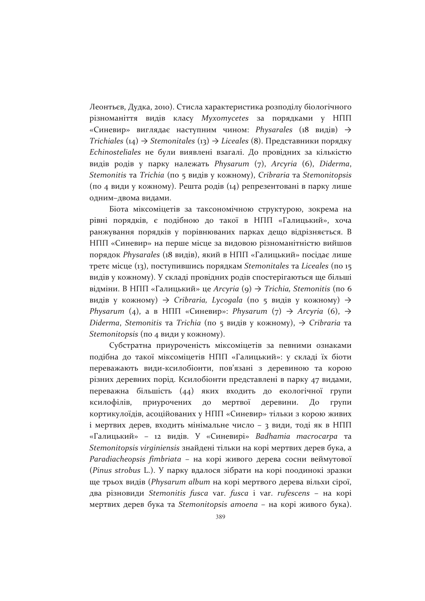Леонтьєв, Дудка, 2010). Стисла характеристика розподілу біологічного різноманіття видів класу Myxomycetes за порядками у НПП «Синевир» виглядає наступним чином: Physarales (18 видів)  $\rightarrow$ Trichiales (14)  $\rightarrow$  Stemonitales (13)  $\rightarrow$  Liceales (8). Представники порядку Echinosteliales не були виявлені взагалі. До провідних за кількістю видів родів у парку належать Physarum (7), Arcyria (6), Diderma, Stemonitis та Trichia (по 5 видів у кожному), Cribraria та Stemonitopsis (по 4 види у кожному). Решта родів (14) репрезентовані в парку лише одним-двома видами.

Біота міксоміцетів за таксономічною структурою, зокрема на рівні порядків, є подібною до такої в НПП «Галицький», хоча ранжування порядків у порівнюваних парках дещо відрізняється. В НПП «Синевир» на перше місце за видовою різноманітністю вийшов порядок Physarales (18 видів), який в НПП «Галицький» посідає лише третє місце (13), поступившись порядкам Stemonitales та Liceales (по 15 видів у кожному). У складі провідних родів спостерігаються ще більші відміни. В НПП «Галицький» це Arcyria (9)  $\rightarrow$  Trichia, Stemonitis (по 6 видів у кожному)  $\rightarrow$  Cribraria, Lycogala (по 5 видів у кожному)  $\rightarrow$ Physarum (4), а в НПП «Синевир»: Physarum (7)  $\rightarrow$  Arcyria (6),  $\rightarrow$ Diderma, Stemonitis та Trichia (по 5 видів у кожному),  $\rightarrow$  Cribraria та Stemonitopsis (по 4 види у кожному).

Субстратна приуроченість міксоміцетів за певними ознаками подібна до такої міксоміцетів НПП «Галицький»: у складі їх біоти переважають види-ксилобіонти, пов'язані з деревиною та корою різних деревних порід. Ксилобіонти представлені в парку 47 видами, переважна більшість (44) яких входить до екологічної групи ксилофілів, приурочених до мертвої деревини. До групи кортикулоїдів, асоційованих у НПП «Синевир» тільки з корою живих і мертвих дерев, входить мінімальне число - 3 види, тоді як в НПП «Галицький» - 12 видів. У «Синевирі» Badhamia macrocarpa та Stemonitopsis virginiensis знайдені тільки на корі мертвих дерев бука, а Paradiacheopsis fimbriata - на корі живого дерева сосни веймутової (Pinus strobus L.). У парку вдалося зібрати на корі поодинокі зразки ще трьох видів (Physarum album на корі мертвого дерева вільхи сірої, два різновиди Stemonitis fusca var. fusca і var. rufescens - на корі мертвих дерев бука та Stemonitopsis amoena - на корі живого бука).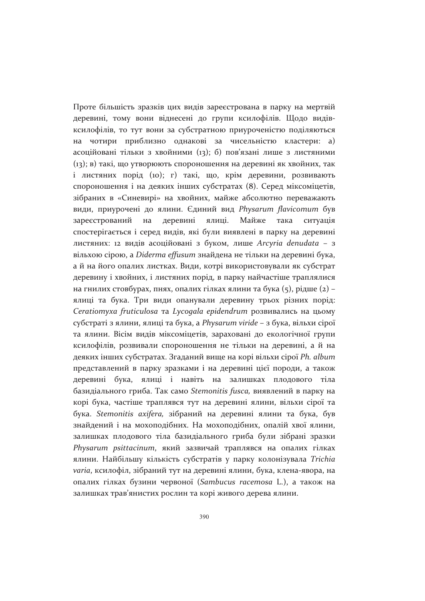Проте більшість зразків цих видів зареєстрована в парку на мертвій деревині, тому вони віднесені до групи ксилофілів. Щодо видівксилофілів, то тут вони за субстратною приуроченістю поділяються на чотири приблизно однакові за чисельністю кластери: а) асоційовані тільки з хвойними (13); б) пов'язані лише з листяними (13); в) такі, що утворюють спороношення на деревині як хвойних, так і листяних порід (10); г) такі, що, крім деревини, розвивають спороношення і на деяких інших субстратах (8). Серед міксоміцетів, зібраних в «Синевирі» на хвойних, майже абсолютно переважають види, приурочені до ялини. Єдиний вид Physarum flavicomum був на деревині ялиці. Майже така зареєстрований ситуація спостерігається і серед видів, які були виявлені в парку на деревині листяних: 12 видів асоційовані з буком, лише Arcyria denudata - з вільхою сірою, а Diderma effusum знайдена не тільки на деревині бука, а й на його опалих листках. Види, котрі використовували як субстрат деревину і хвойних, і листяних порід, в парку найчастіше траплялися на гнилих стовбурах, пнях, опалих гілках ялини та бука (5), рідше (2) ялиці та бука. Три види опанували деревину трьох різних порід: Ceratiomyxa fruticulosa та Lycogala epidendrum розвивались на цьому субстраті з ялини, ялиці та бука, а Physarum viride - з бука, вільхи сірої та ялини. Вісім видів міксоміцетів, зараховані до екологічної групи ксилофілів, розвивали спороношення не тільки на деревині, а й на деяких інших субстратах. Згаданий вище на корі вільхи сірої Ph. album представлений в парку зразками і на деревині цієї породи, а також деревині бука, ялиці і навіть на залишках плодового тіла базидіального гриба. Так само Stemonitis fusca, виявлений в парку на корі бука, частіше траплявся тут на деревині ялини, вільхи сірої та бука. Stemonitis axifera, зібраний на деревині ялини та бука, був знайдений і на мохоподібних. На мохоподібних, опалій хвої ялини, залишках плодового тіла базидіального гриба були зібрані зразки Physarum psittacinum, який зазвичай траплявся на опалих гілках ялини. Найбільшу кількість субстратів у парку колонізувала Trichia varia, ксилофіл, зібраний тут на деревині ялини, бука, клена-явора, на опалих гілках бузини червоної (Sambucus racemosa L.), а також на залишках трав'янистих рослин та корі живого дерева ялини.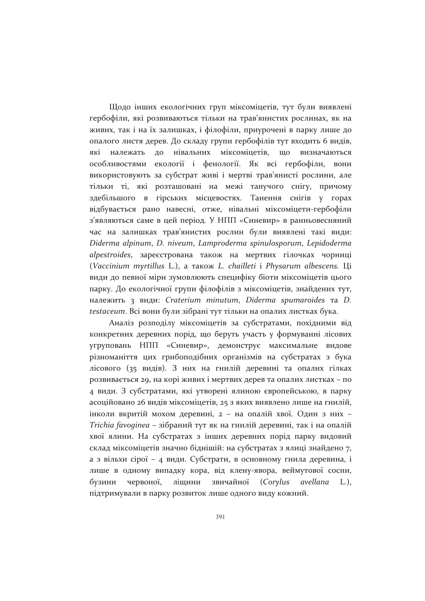Шодо інших екологічних груп міксоміцетів, тут були виявлені гербофіли, які розвиваються тільки на трав'янистих рослинах, як на живих, так і на їх залишках, і філофіли, приурочені в парку лише до опалого листя дерев. До складу групи гербофілів тут входить 6 видів, належать до нівальних міксоміцетів.  $\overline{u}$ які визначаються особливостями екології і фенології. Як всі гербофіли, вони використовують за субстрат живі і мертві трав'янисті рослини, але тільки ті, які розташовані на межі танучого снігу, причому здебільшого в гірських місцевостях. Танення снігів  $\mathbf{V}$ горах відбувається рано навесні, отже, нівальні міксоміцети-гербофіли з'являються саме в цей період. У НПП «Синевир» в ранньовесняний час на залишках трав'янистих рослин були виявлені такі види: Diderma alpinum, D. niveum, Lamproderma spinulosporum, Lepidoderma alpestroides, зареєстрована також на мертвих гілочках чорниці (Vaccinium myrtillus L.), а також L. chailleti i Physarum albescens. Ці види до певної міри зумовлюють специфіку біоти міксоміцетів цього парку. До екологічної групи філофілів з міксоміцетів, знайдених тут, належить з види: Craterium minutum, Diderma spumaroides та D. testaceum. Всі вони були зібрані тут тільки на опалих листках бука.

Аналіз розподілу міксоміцетів за субстратами, похідними від конкретних деревних порід, що беруть участь у формуванні лісових угруповань НПП «Синевир», демонструє максимальне видове різноманіття цих грибоподібних організмів на субстратах з бука лісового (35 видів). З них на гнилій деревині та опалих гілках розвивається 29, на корі живих і мертвих дерев та опалих листках - по 4 види. З субстратами, які утворені ялиною європейською, в парку асоційовано 26 видів міксоміцетів, 25 з яких виявлено лише на гнилій, інколи вкритій мохом деревині, 2 - на опалій хвої. Один з них -Trichia favoginea - зібраний тут як на гнилій деревині, так і на опалій хвої ялини. На субстратах з інших деревних порід парку видовий склад міксоміцетів значно біднішій: на субстратах з ялиці знайдено 7, а з вільхи сірої - 4 види. Субстрати, в основному гнила деревина, і лише в одному випадку кора, від клену-явора, веймутової сосни, червоної, ліщини звичайної (Corylus) avellana L.). бузини підтримували в парку розвиток лише одного виду кожний.

391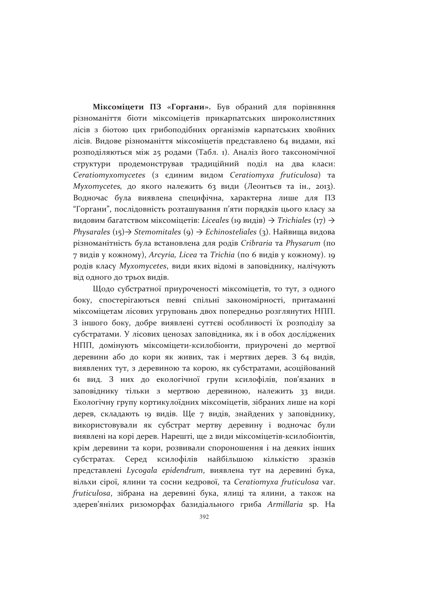Міксоміцети ПЗ «Горгани». Був обраний для порівняння різноманіття біоти міксоміцетів прикарпатських широколистяних лісів з біотою цих грибоподібних організмів карпатських хвойних лісів. Видове різноманіття міксоміцетів представлено 64 видами, які розподіляються між 25 родами (Табл. 1). Аналіз його таксономічної структури продемонстрував традиційний поділ на два класи: Ceratiomyxomycetes (з єдиним видом Ceratiomyxa fruticulosa) та Myxomycetes, до якого належить 63 види (Леонтьєв та ін., 2013). Водночас була виявлена специфічна, характерна лише для ПЗ "Горгани", послідовність розташування п'яти порядків цього класу за видовим багатством міксоміцетів: Liceales (19 видів)  $\rightarrow$  Trichiales (17)  $\rightarrow$ Physarales (15) → Stemomitales (9) → Echinosteliales (3). Найвища видова різноманітність була встановлена для родів Cribraria та Physarum (по 7 видів у кожному), Arcyria, Licea та Trichia (по 6 видів у кожному). 19 родів класу Myxomycetes, види яких відомі в заповіднику, налічують від одного до трьох видів.

Щодо субстратної приуроченості міксоміцетів, то тут, з одного боку, спостерігаються певні спільні закономірності, притаманні міксоміцетам лісових угруповань двох попередньо розглянутих НПП. З іншого боку, добре виявлені суттєві особливості їх розподілу за субстратами. У лісових ценозах заповідника, як і в обох досліджених НПП, домінують міксоміцети-ксилобіонти, приурочені до мертвої деревини або до кори як живих, так і мертвих дерев. З 64 видів, виявлених тут, з деревиною та корою, як субстратами, асоційований 61 вид. З них до екологічної групи ксилофілів, пов'язаних в заповіднику тільки з мертвою деревиною, належить 33 види. Екологічну групу кортикулоїдних міксоміцетів, зібраних лише на корі дерев, складають 19 видів. Ще 7 видів, знайдених у заповіднику, використовували як субстрат мертву деревину і водночас були виявлені на корі дерев. Нарешті, ще 2 види міксоміцетів-ксилобіонтів, крім деревини та кори, розвивали спороношення і на деяких інших субстратах. Серед ксилофілів найбільшою кількістю зразків представлені Lycogala epidendrum, виявлена тут на деревині бука, вільхи сірої, ялини та сосни кедрової, та Ceratiomyxa fruticulosa var. fruticulosa, зібрана на деревині бука, ялиці та ялини, а також на здерев'янілих ризоморфах базидіального гриба Armillaria sp. На

392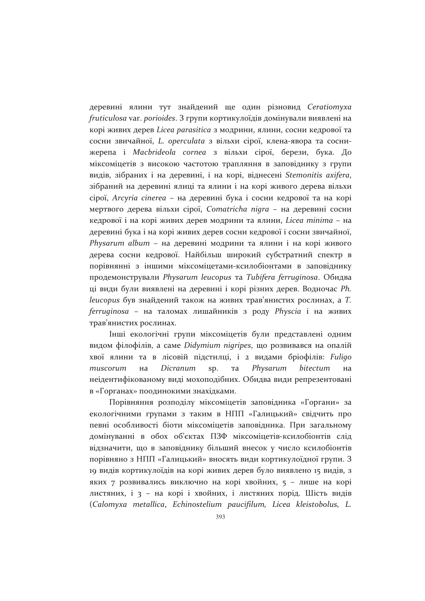деревині ялини тут знайдений ще один різновид Ceratiomyxa fruticulosa var. porioides. З групи кортикулоїдів домінували виявлені на корі живих дерев Licea parasitica з модрини, ялини, сосни кедрової та сосни звичайної, L. operculata з вільхи сірої, клена-явора та соснижерепа і Macbrideola cornea з вільхи сірої, берези, бука. До міксоміцетів з високою частотою трапляння в заповіднику з групи видів, зібраних і на деревині, і на корі, віднесені Stemonitis axifera, зібраний на деревині ялиці та ялини і на корі живого дерева вільхи сірої, Агсугіа сіпегеа - на деревині бука і сосни кедрової та на корі мертвого дерева вільхи сірої, Comatricha nigra - на деревині сосни кедрової і на корі живих дерев модрини та ялини, Licea minima - на деревині бука і на корі живих дерев сосни кедрової і сосни звичайної, Physarum album - на деревині модрини та ялини і на корі живого дерева сосни кедрової. Найбільш широкий субстратний спектр в порівнянні з іншими міксоміцетами-ксилобіонтами в заповіднику продемонстрували Physarum leucopus та Tubifera ferruginosa. Обидва ці види були виявлені на деревині і корі різних дерев. Водночас Ph. leucopus був знайдений також на живих трав'янистих рослинах, а Т. ferruginosa - на таломах лишайників з роду Physcia і на живих трав'янистих рослинах.

Інші екологічні групи міксоміцетів були представлені одним видом філофілів, а саме Didymium nigripes, що розвивався на опалій хвої ялини та в лісовій підстилці, і 2 видами бріофілів: Fuligo muscorum на Dicranum sp. та Physarum bitectum на неідентифікованому виді мохоподібних. Обидва види репрезентовані в «Горганах» поодинокими знахідками.

Порівняння розподілу міксоміцетів заповідника «Горгани» за екологічними групами з таким в НПП «Галицький» свідчить про певні особливості біоти міксоміцетів заповідника. При загальному домінуванні в обох об'єктах ПЗФ міксоміцетів-ксилобіонтів слід відзначити, що в заповіднику більший внесок у число ксилобіонтів порівняно з НПП «Галицький» вносять види кортикулоїдної групи. З 19 видів кортикулоїдів на корі живих дерев було виявлено 15 видів, з яких 7 розвивались виключно на корі хвойних, 5 - лише на корі листяних, і з - на корі і хвойних, і листяних порід. Шість видів (Calomyxa metallica, Echinostelium paucifilum, Licea kleistobolus, L.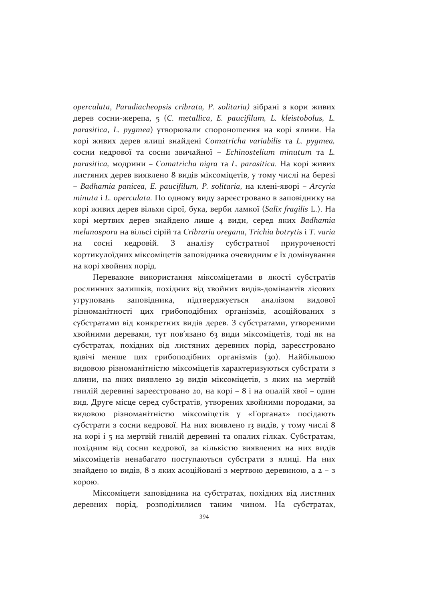operculata, Paradiacheopsis cribrata, P. solitaria) зібрані з кори живих дерев сосни-жерепа, 5 (C. metallica, E. paucifilum, L. kleistobolus, L. parasitica, L. pygmea) утворювали спороношення на корі ялини. На корі живих дерев ялиці знайдені Comatricha variabilis та L. рудтеа, сосни кедрової та сосни звичайної - Echinostelium minutum та L. parasitica, модрини - Comatricha nigra та L. parasitica. На корі живих листяних дерев виявлено 8 видів міксоміцетів, у тому числі на березі - Badhamia panicea, E. paucifilum, P. solitaria, на клені-яворі - Arcyria minuta i L. operculata. По одному виду зареєстровано в заповіднику на корі живих дерев вільхи сірої, бука, верби ламкої (Salix fragilis L.). На корі мертвих дерев знайдено лише 4 види, серед яких Badhamia melanospora на вільсі сірій та Cribraria oregana, Trichia botrytis і T. varia кедровій. З аналізу субстратної сосні приуроченості на кортикулоїдних міксоміцетів заповідника очевидним є їх домінування на корі хвойних порід.

Переважне використання міксоміцетами в якості субстратів рослинних залишків, похідних від хвойних видів-домінантів лісових заповідника, підтверджується аналізом угруповань видової різноманітності цих грибоподібних організмів, асоційованих з субстратами від конкретних видів дерев. З субстратами, утвореними хвойними деревами, тут пов'язано 63 види міксоміцетів, тоді як на субстратах, похідних від листяних деревних порід, зареєстровано вдвічі менше цих грибоподібних організмів (30). Найбільшою видовою різноманітністю міксоміцетів характеризуються субстрати з ялини, на яких виявлено 29 видів міксоміцетів, з яких на мертвій гнилій деревині зареєстровано 20, на корі - 8 і на опалій хвої - один вид. Друге місце серед субстратів, утворених хвойними породами, за видовою різноманітністю міксоміцетів у «Горганах» посідають субстрати з сосни кедрової. На них виявлено 13 видів, у тому числі 8 на корі і 5 на мертвій гнилій деревині та опалих гілках. Субстратам, похідним від сосни кедрової, за кількістю виявлених на них видів міксоміцетів ненабагато поступаються субстрати з ялиці. На них знайдено 10 видів, 8 з яких асоційовані з мертвою деревиною, а 2 – з корою.

Міксоміцети заповідника на субстратах, похідних від листяних деревних порід, розподілилися таким чином. На субстратах,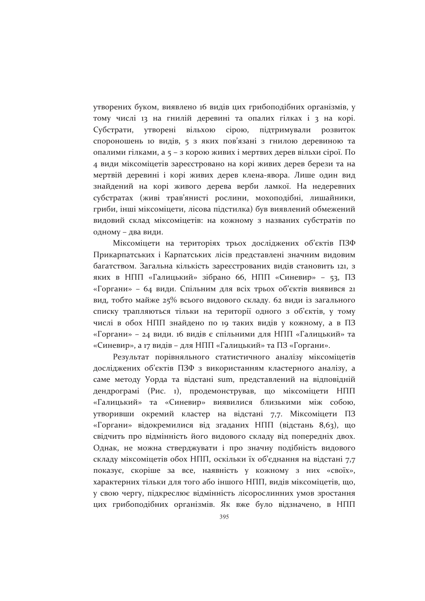утворених буком, виявлено 16 видів цих грибоподібних організмів, у тому числі 13 на гнилій деревині та опалих гілках і 3 на корі. Субстрати, утворені вільхою сірою, підтримували розвиток спороношень 10 видів, 5 з яких пов'язані з гнилою деревиною та опалими гілками, а 5 – з корою живих і мертвих дерев вільхи сірої. По 4 види міксоміцетів зареєстровано на корі живих дерев берези та на мертвій деревині і корі живих дерев клена-явора. Лише один вид знайдений на корі живого дерева верби ламкої. На недеревних субстратах (живі трав'янисті рослини, мохоподібні, лишайники, гриби, інші міксоміцети, лісова підстилка) був виявлений обмежений видовий склад міксоміцетів: на кожному з названих субстратів по одному - два види.

Міксоміцети на територіях трьох досліджених об'єктів ПЗФ Прикарпатських і Карпатських лісів представлені значним видовим багатством. Загальна кількість зареєстрованих видів становить 121, з яких в НПП «Галицький» зібрано 66, НПП «Синевир» - 53, ПЗ «Горгани» - 64 види. Спільним для всіх трьох об'єктів виявився 21 вид, тобто майже 25% всього видового складу. 62 види із загального списку трапляються тільки на території одного з об'єктів, у тому числі в обох НПП знайдено по 19 таких видів у кожному, а в ПЗ «Горгани» – 24 види. 16 видів є спільними для НПП «Галицький» та «Синевир», а 17 видів – для НПП «Галицький» та ПЗ «Горгани».

Результат порівняльного статистичного аналізу міксоміцетів досліджених об'єктів ПЗФ з використанням кластерного аналізу, а саме методу Уорда та відстані sum, представлений на відповідній дендрограмі (Рис. 1), продемонстрував, що міксоміцети НПП «Галицький» та «Синевир» виявилися близькими між собою, утворивши окремий кластер на відстані 7,7. Міксоміцети ПЗ «Горгани» відокремилися від згаданих НПП (відстань 8,63), що свідчить про відмінність його видового складу від попередніх двох. Однак, не можна стверджувати і про значну подібність видового складу міксоміцетів обох НПП, оскільки їх об'єднання на відстані 7,7 показує, скоріше за все, наявність у кожному з них «своїх», характерних тільки для того або іншого НПП, видів міксоміцетів, що, у свою чергу, підкреслює відмінність лісорослинних умов зростання цих грибоподібних організмів. Як вже було відзначено, в НПП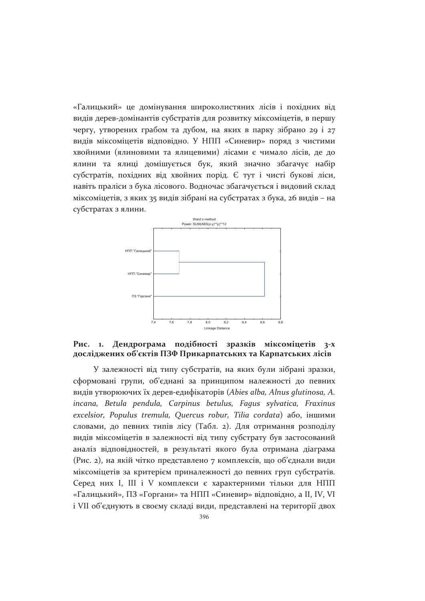«Галицький» це домінування широколистяних лісів і похідних від видів дерев-домінантів субстратів для розвитку міксоміцетів, в першу чергу, утворених грабом та дубом, на яких в парку зібрано 29 і 27 видів міксоміцетів відповідно. У НПП «Синевир» поряд з чистими хвойними (ялиновими та ялицевими) лісами є чимало лісів, де до ялини та ялиці домішується бук, який значно збагачує набір субстратів, похідних від хвойних порід. Є тут і чисті букові ліси, навіть праліси з бука лісового. Водночас збагачується і видовий склад міксоміцетів, з яких 35 видів зібрані на субстратах з бука, 26 видів – на субстратах з ялини.



#### Дендрограма подібності зразків міксоміцетів 3-х Рис. 1. досліджених об'єктів ПЗФ Прикарпатських та Карпатських лісів

У залежності від типу субстратів, на яких були зібрані зразки, сформовані групи, об'єднані за принципом належності до певних видів утворюючих їх дерев-едифікаторів (Abies alba, Alnus glutinosa, A. incana, Betula pendula, Carpinus betulus, Fagus sylvatica, Fraxinus excelsior, Populus tremula, Quercus robur, Tilia cordata) aбо, іншими словами, до певних типів лісу (Табл. 2). Для отримання розподілу видів міксоміцетів в залежності від типу субстрату був застосований аналіз відповідностей, в результаті якого була отримана діаграма (Рис. 2), на якій чітко представлено 7 комплексів, що об'єднали види міксоміцетів за критерієм приналежності до певних груп субстратів. Серед них I, III і V комплекси є характерними тільки для НПП «Галицький», ПЗ «Горгани» та НПП «Синевир» відповідно, а II, IV, VI і VII об'єднують в своєму складі види, представлені на території двох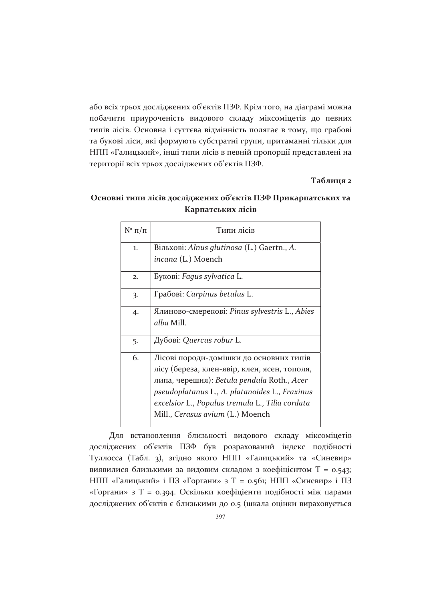або всіх трьох досліджених об'єктів ПЗФ. Крім того, на діаграмі можна побачити приуроченість видового складу міксоміцетів до певних типів лісів. Основна і суттєва відмінність полягає в тому, що грабові та букові ліси, які формують субстратні групи, притаманні тільки для НПП «Галицький», інші типи лісів в певній пропорції представлені на території всіх трьох досліджених об'єктів ПЗФ.

#### Таблиця 2

### Основні типи лісів досліджених об'єктів ПЗФ Прикарпатських та Карпатських лісів

| $N^{\circ}$ $\Pi/\Pi$ | Типи лісів                                                                                                                                                                                                                                                                     |
|-----------------------|--------------------------------------------------------------------------------------------------------------------------------------------------------------------------------------------------------------------------------------------------------------------------------|
| 1.                    | Вільхові: Alnus glutinosa (L.) Gaertn., A.<br>incana (L.) Moench                                                                                                                                                                                                               |
|                       |                                                                                                                                                                                                                                                                                |
| 2.                    | Букові: Fagus sylvatica L.                                                                                                                                                                                                                                                     |
| 3.                    | Грабові: Carpinus betulus L.                                                                                                                                                                                                                                                   |
| 4.                    | Ялиново-смерекові: Pinus sylvestris L., Abies<br>alba Mill.                                                                                                                                                                                                                    |
| 5.                    | Дубові: Quercus robur L.                                                                                                                                                                                                                                                       |
| 6.                    | Лісові породи-домішки до основних типів<br>лісу (береза, клен-явір, клен, ясен, тополя,<br>липа, черешня): Betula pendula Roth., Acer<br>pseudoplatanus L., A. platanoides L., Fraxinus<br>excelsior L., Populus tremula L., Tilia cordata<br>Mill., Cerasus avium (L.) Moench |

Для встановлення близькості видового складу міксоміцетів досліджених об'єктів ПЗФ був розрахований індекс подібності Туллосса (Табл. 3), згідно якого НПП «Галицький» та «Синевир» виявилися близькими за видовим складом з коефіцієнтом Т = 0.543; НПП «Галицький» і ПЗ «Горгани» з Т = 0.561; НПП «Синевир» і ПЗ «Горгани» з Т = 0.394. Оскільки коефіцієнти подібності між парами досліджених об'єктів є близькими до 0.5 (шкала оцінки вираховується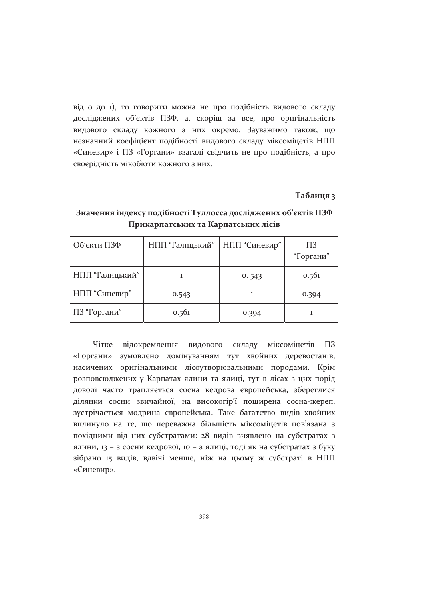від о до 1), то говорити можна не про подібність видового складу досліджених об'єктів ПЗФ, а, скоріш за все, про оригінальність видового складу кожного з них окремо. Зауважимо також, що незначний коефіцієнт подібності видового складу міксоміцетів НПП «Синевир» і ПЗ «Горгани» взагалі свідчить не про подібність, а про своєрідність мікобіоти кожного з них.

#### Таблиця з

| Об'єкти ПЗФ     | НПП "Галицький" | НПП "Синевир" | ПЗ<br>"Горгани" |
|-----------------|-----------------|---------------|-----------------|
| НПП "Галицький" |                 | 0.543         | 0.561           |
| НПП "Синевир"   | 0.543           |               | 0.394           |
| ПЗ "Горгани"    | 0.561           | 0.394         |                 |

### Значення індексу подібності Туллосса досліджених об'єктів ПЗФ Прикарпатських та Карпатських лісів

Чітке відокремлення видового складу міксоміцетів  $\Pi$ <sub>3</sub> «Горгани» зумовлено домінуванням тут хвойних деревостанів, насичених оригінальними лісоутворювальними породами. Крім розповсюджених у Карпатах ялини та ялиці, тут в лісах з цих порід доволі часто трапляється сосна кедрова європейська, збереглися ділянки сосни звичайної, на високогір'ї поширена сосна-жереп, зустрічається модрина європейська. Таке багатство видів хвойних вплинуло на те, що переважна більшість міксоміцетів пов'язана з похідними від них субстратами: 28 видів виявлено на субстратах з ялини, 13 - з сосни кедрової, 10 - з ялиці, тоді як на субстратах з буку зібрано 15 видів, вдвічі менше, ніж на цьому ж субстраті в НПП «Синевир».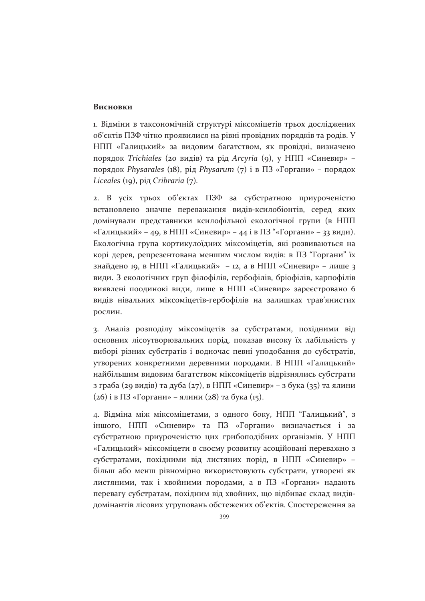### Висновки

1. Відміни в таксономічній структурі міксоміцетів трьох досліджених об'єктів ПЗФ чітко проявилися на рівні провідних порядків та родів. У НПП «Галицький» за видовим багатством, як провідні, визначено порядок Trichiales (20 видів) та рід Агсугіа (9), у НПП «Синевир» порядок Physarales (18), рід Physarum (7) і в ПЗ «Горгани» - порядок Liceales (19), pig Cribraria (7).

2. В усіх трьох об'єктах ПЗФ за субстратною приуроченістю встановлено значне переважання видів-ксилобіонтів, серед яких домінували представники ксилофільної екологічної групи (в НПП «Галицький» - 49, в НПП «Синевир» - 44 і в ПЗ "«Горгани» - 33 види). Екологічна група кортикулоїдних міксоміцетів, які розвиваються на корі дерев, репрезентована меншим числом видів: в ПЗ "Горгани" їх знайдено 19, в НПП «Галицький» - 12, а в НПП «Синевир» - лише з види. З екологічних груп філофілів, гербофілів, бріофілів, карпофілів виявлені поодинокі види, лише в НПП «Синевир» зареєстровано 6 видів нівальних міксоміцетів-гербофілів на залишках трав'янистих рослин.

3. Аналіз розподілу міксоміцетів за субстратами, похідними від основних лісоутворювальних порід, показав високу їх лабільність у виборі різних субстратів і водночас певні уподобання до субстратів, утворених конкретними деревними породами. В НПП «Галицький» найбільшим видовим багатством міксоміцетів відрізнялись субстрати з граба (29 видів) та дуба (27), в НПП «Синевир» – з бука (35) та ялини  $(26)$  і в ПЗ «Горгани» – ялини  $(28)$  та бука  $(15)$ .

4. Відміна між міксоміцетами, з одного боку, НПП "Галицький", з іншого, НПП «Синевир» та ПЗ «Горгани» визначається і за субстратною приуроченістю цих грибоподібних організмів. У НПП «Галицький» міксоміцети в своєму розвитку асоційовані переважно з субстратами, похідними від листяних порід, в НПП «Синевир» більш або менш рівномірно використовують субстрати, утворені як листяними, так і хвойними породами, а в ПЗ «Горгани» надають перевагу субстратам, похідним від хвойних, що відбиває склад видівдомінантів лісових угруповань обстежених об'єктів. Спостереження за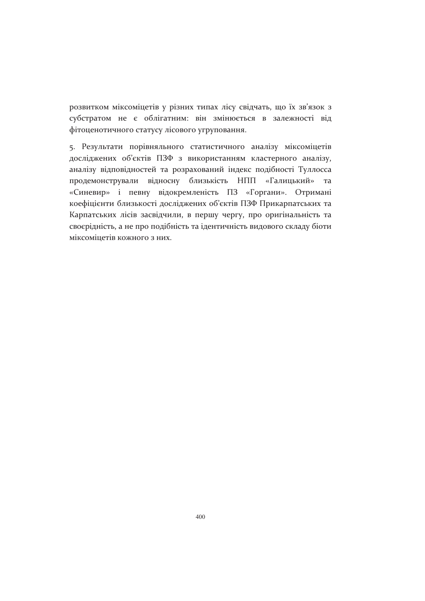розвитком міксоміцетів у різних типах лісу свідчать, що їх зв'язок з субстратом не є облігатним: він змінюється в залежності від фітоценотичного статусу лісового угруповання.

5. Результати порівняльного статистичного аналізу міксоміцетів досліджених об'єктів ПЗФ з використанням кластерного аналізу, аналізу відповідностей та розрахований індекс подібності Туллосса продемонстрували відносну близькість НПП «Галицький» та «Синевир» і певну відокремленість ПЗ «Горгани». Отримані коефіцієнти близькості досліджених об'єктів ПЗФ Прикарпатських та Карпатських лісів засвідчили, в першу чергу, про оригінальність та своєрідність, а не про подібність та ідентичність видового складу біоти міксоміцетів кожного з них.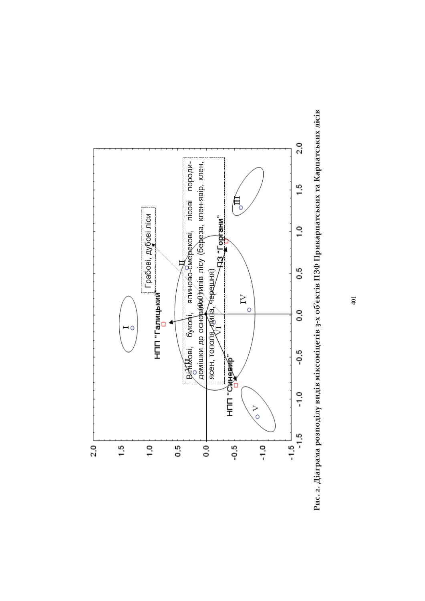

Рис. 2. Діаграма розподілу видів міксоміцетів 3-х об'єктів ПЗФ Прикарпатських та Карпатських лісів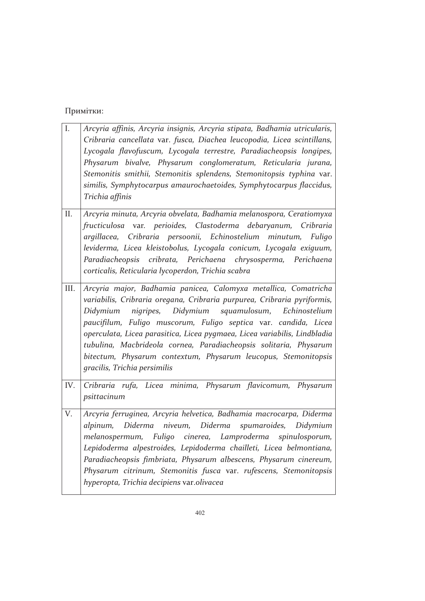### Примітки:

| I.   | Arcyria affinis, Arcyria insignis, Arcyria stipata, Badhamia utricularis,<br>Cribraria cancellata var. fusca, Diachea leucopodia, Licea scintillans,<br>Lycogala flavofuscum, Lycogala terrestre, Paradiacheopsis longipes,<br>Physarum bivalve, Physarum conglomeratum, Reticularia jurana,<br>Stemonitis smithii, Stemonitis splendens, Stemonitopsis typhina var.<br>similis, Symphytocarpus amaurochaetoides, Symphytocarpus flaccidus,<br>Trichia affinis                                                                     |
|------|------------------------------------------------------------------------------------------------------------------------------------------------------------------------------------------------------------------------------------------------------------------------------------------------------------------------------------------------------------------------------------------------------------------------------------------------------------------------------------------------------------------------------------|
| II.  | Arcyria minuta, Arcyria obvelata, Badhamia melanospora, Ceratiomyxa<br>fructiculosa var. perioides, Clastoderma debaryanum, Cribraria<br>argillacea, Cribraria persoonii, Echinostelium minutum, Fuligo<br>leviderma, Licea kleistobolus, Lycogala conicum, Lycogala exiguum,<br>Paradiacheopsis cribrata, Perichaena chrysosperma, Perichaena<br>corticalis, Reticularia lycoperdon, Trichia scabra                                                                                                                               |
| III. | Arcyria major, Badhamia panicea, Calomyxa metallica, Comatricha<br>variabilis, Cribraria oregana, Cribraria purpurea, Cribraria pyriformis,<br>nigripes,<br>Didymium squamulosum, Echinostelium<br>Didymium<br>paucifilum, Fuligo muscorum, Fuligo septica var. candida, Licea<br>operculata, Licea parasitica, Licea pygmaea, Licea variabilis, Lindbladia<br>tubulina, Macbrideola cornea, Paradiacheopsis solitaria, Physarum<br>bitectum, Physarum contextum, Physarum leucopus, Stemonitopsis<br>gracilis, Trichia persimilis |
| IV.  | Cribraria rufa, Licea minima, Physarum flavicomum, Physarum<br>psittacinum                                                                                                                                                                                                                                                                                                                                                                                                                                                         |
| V.   | Arcyria ferruginea, Arcyria helvetica, Badhamia macrocarpa, Diderma<br>niveum,<br>Diderma<br>spumaroides,<br>alpinum,<br>Diderma<br>Didymium<br>melanospermum, Fuligo cinerea, Lamproderma spinulosporum,<br>Lepidoderma alpestroides, Lepidoderma chailleti, Licea belmontiana,<br>Paradiacheopsis fimbriata, Physarum albescens, Physarum cinereum,<br>Physarum citrinum, Stemonitis fusca var. rufescens, Stemonitopsis<br>hyperopta, Trichia decipiens var.olivacea                                                            |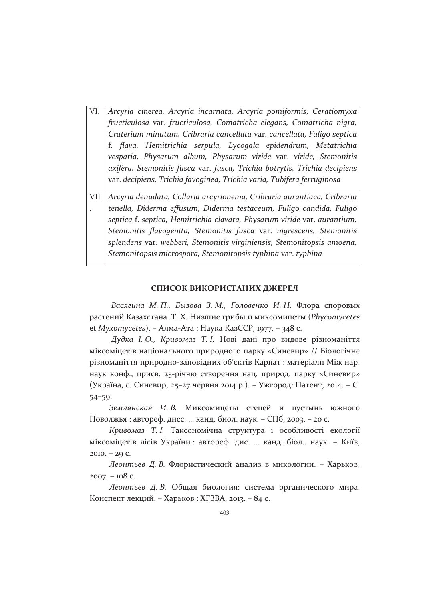| VI. | Arcyria cinerea, Arcyria incarnata, Arcyria pomiformis, Ceratiomyxa       |
|-----|---------------------------------------------------------------------------|
|     | fructiculosa var. fructiculosa, Comatricha elegans, Comatricha nigra,     |
|     | Craterium minutum, Cribraria cancellata var. cancellata, Fuligo septica   |
|     | f. flava, Hemitrichia serpula, Lycogala epidendrum, Metatrichia           |
|     | vesparia, Physarum album, Physarum viride var. viride, Stemonitis         |
|     | axifera, Stemonitis fusca var. fusca, Trichia botrytis, Trichia decipiens |
|     | var. decipiens, Trichia favoginea, Trichia varia, Tubifera ferruginosa    |
|     |                                                                           |
| VII | Arcyria denudata, Collaria arcyrionema, Cribraria aurantiaca, Cribraria   |
|     | tenella, Diderma effusum, Diderma testaceum, Fuligo candida, Fuligo       |
|     | septica f. septica, Hemitrichia clavata, Physarum viride var. aurantium,  |
|     | Stemonitis flavogenita, Stemonitis fusca var. nigrescens, Stemonitis      |
|     | splendens var. webberi, Stemonitis virginiensis, Stemonitopsis amoena,    |
|     | Stemonitopsis microspora, Stemonitopsis typhina var. typhina              |

#### СПИСОК ВИКОРИСТАНИХ ДЖЕРЕЛ

Васягина М. П., Бызова З. М., Головенко И. Н. Флора споровых растений Казахстана. Т. Х. Низшие грибы и миксомицеты (Phycomycetes et Myxomycetes). – Алма-Ата: Наука КазССР, 1977. – 348 с.

Дудка I. О., Кривомаз Т. I. Нові дані про видове різноманіття міксоміцетів національного природного парку «Синевир» // Біологічне різноманіття природно-заповідних об'єктів Карпат: матеріали Між нар. наук конф., присв. 25-річчю створення нац. природ. парку «Синевир» (Україна, с. Синевир, 25-27 червня 2014 р.). - Ужгород: Патент, 2014. - С.  $54 - 59.$ 

Землянская И. В. Миксомицеты степей и пустынь южного Поволжья: автореф. дисс. ... канд. биол. наук. - СПб, 2003. - 20 с.

Кривомаз Т. I. Таксономічна структура і особливості екології міксоміцетів лісів України: автореф. дис. ... канд. біол.. наук. - Київ,  $2010. - 29$  C.

Леонтьев Д. В. Флористический анализ в микологии. - Харьков,  $2007. - 108$  C.

Леонтьев Д. В. Общая биология: система органического мира. Конспект лекций. - Харьков: ХГЗВА, 2013. - 84 с.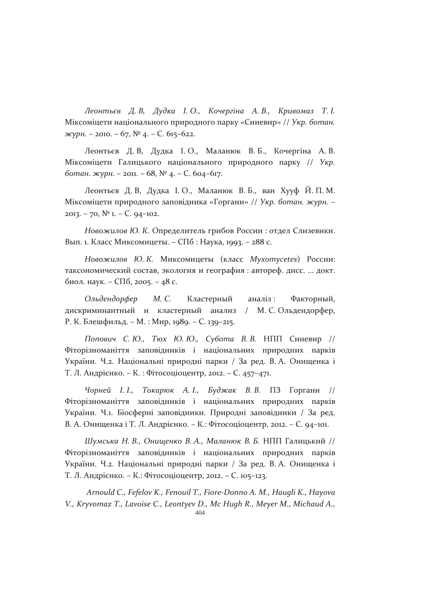Леонтьєв Д. В, Дудка І. О., Кочергіна А. В., Кривомаз Т. І. Міксоміцети національного природного парку «Синевир» // Укр. ботан. журн. – 2010. – 67,  $N^{\circ}$  4. – С. 615–622.

Леонтьєв Д. В, Дудка І. О., Маланюк В. Б., Кочергіна А. В. Міксоміцети Галицького національного природного парку // Укр. ботан. журн. - 2011. - 68, № 4. - С. 604-617.

Леонтьєв Д. В, Дудка І. О., Маланюк В. Б., ван Хууф Й. П. М. Міксоміцети природного заповідника «Горгани» // Укр. ботан. журн. -2013. – 70,  $N^{\circ}$  1. – C. 94–102.

Новожилов Ю. К. Определитель грибов России: отдел Слизевики. Вып. 1. Класс Миксомицеты. - СПб : Наука, 1993. - 288 с.

Новожилов Ю. К. Миксомицеты (класс Myxomycetes) России: таксономический состав, экология и география : автореф. дисс. ... докт. биол. наук. - СПб, 2005. - 48 с.

Ольдендорфер М. С. Кластерный аналіз: Факторный, дискриминантный и кластерный анализ / М. С. Ольдендорфер, Р. К. Блешфильд. - М. : Мир, 1989. - С. 139-215.

Попович С. Ю., Тюх Ю. Ю., Субота В. В. НПП Синевир // Фіторізноманіття заповідників і національних природних парків України. Ч.2. Національні природні парки / За ред. В. А. Онищенка і Т. Л. Андрієнко. - К.: Фітосоціоцентр, 2012. - С. 457-471.

Чорней I.I., Токарюк А.I., Буджак В.В. ПЗ Горгани // Фіторізноманіття заповідників і національних природних парків України. Ч.1. Біосферні заповідники. Природні заповідники / За ред. В. А. Онищенка і Т. Л. Андрієнко. - К.: Фітосоціоцентр, 2012. - С. 94-101.

Шумська Н. В., Онищенко В. А., Маланюк В. Б. НПП Галицький // Фіторізноманіття заповідників і національних природних парків України. Ч.2. Національні природні парки / За ред. В. А. Онищенка і Т. Л. Андрієнко. - К.: Фітосоціоцентр, 2012. - С. 105-123.

Arnould C., Fefelov K., Fenouil T., Fiore-Donno A. M., Haugli K., Hayova V., Kryvomaz T., Lavoise C., Leontyev D., Mc Hugh R., Meyer M., Michaud A.,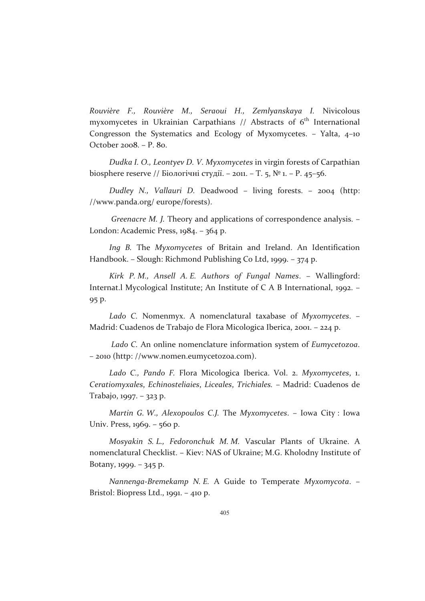*Rouvière F., Rouvière M., Seraoui H., Zemlyanskaya I.*- Nivicolous myxomycetes in Ukrainian Carpathians // Abstracts of 6<sup>th</sup> International Congresson the Systematics and Ecology of Myxomycetes. – Yalta, 4–10 October 2008. – P. 80.

Dudka I. O., Leontyev D. V. Myxomycetes in virgin forests of Carpathian biosphere reserve // Біологічні студії. – 2011. – Т. 5, № 1. – Р. 45–56.

Dudley N., Vallauri D. Deadwood – living forests. – 2004 (http: //www.panda.org/ europe/forests).

Greenacre M. J. Theory and applications of correspondence analysis. -London: Academic Press, 1984. – 364 p.

Ing B. The Myxomycetes of Britain and Ireland. An Identification Handbook. – Slough: Richmond Publishing Co Ltd, 1999. – 374 p.

Kirk P.M., Ansell A.E. Authors of Fungal Names. - Wallingford: Internat.l Mycological Institute; An Institute of C A B International, 1992. -95 p.

Lado C. Nomenmyx. A nomenclatural taxabase of *Myxomycetes*. – Madrid: Cuadenos de Trabajo de Flora Micologica Iberica, 2001. – 224 p.

Lado C. An online nomenclature information system of *Eumycetozoa*. – 2010 (http: //www.nomen.eumycetozoa.com).

Lado C., Pando F. Flora Micologica Iberica. Vol. 2. Myxomycetes, 1. Ceratiomyxales, *Echinosteliaies, Liceales, Trichiales.* – Madrid: Cuadenos de Trabajo, 1997. – 323 p.

Martin G. W., Alexopoulos C.J. The Myxomycetes. – Iowa City : Iowa Univ. Press, 1969. – 560 p.

Mosyakin S. L., Fedoronchuk M. M. Vascular Plants of Ukraine. A nomenclatural Checklist. – Kiev: NAS of Ukraine; M.G. Kholodny Institute of Botany, 1999. – 345 p.

Nannenga-Bremekamp N.*E.* A Guide to Temperate Myxomycota. – Bristol: Biopress Ltd., 1991. – 410 p.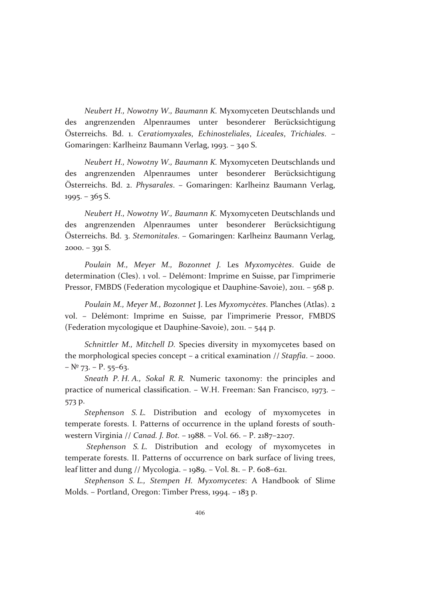Neubert H., Nowotny W., Baumann K. Myxomyceten Deutschlands und des angrenzenden Alpenraumes unter besonderer Berücksichtigung Osterreichs. Bd. 1. Ceratiomyxales, Echinosteliales, Liceales, Trichiales. – Gomaringen: Karlheinz Baumann Verlag, 1993. – 340 S.

Neubert H., Nowotny W., Baumann K. Myxomyceten Deutschlands und des angrenzenden Alpenraumes unter besonderer Berücksichtigung Österreichs. Bd. 2. *Physarales*. – Gomaringen: Karlheinz Baumann Verlag, 1995. – 365 S.

Neubert H., Nowotny W., Baumann K. Myxomyceten Deutschlands und des angrenzenden Alpenraumes unter besonderer Berücksichtigung Österreichs. Bd. 3. *Stemonitales.* – Gomaringen: Karlheinz Baumann Verlag, 2000. – 391 S.

*Poulain M., Meyer M., Bozonnet J.* Les- *Myxomycètes*.- Guide- de determination (Cles). 1 vol. – Delémont: Imprime en Suisse, par l'imprimerie Pressor, FMBDS (Federation mycologique et Dauphine-Savoie), 2011. – 568 p.

Poulain M., Meyer M., Bozonnet J. Les Myxomycètes. Planches (Atlas). 2 vol. – Delémont: Imprime en Suisse, par l'imprimerie Pressor, FMBDS (Federation mycologique et Dauphine-Savoie), 2011. – 544 p.

Schnittler M., Mitchell D. Species diversity in myxomycetes based on the morphological species concept – a critical examination // *Stapfia*. – 2000.  $-$  Nº 73. – P. 55–63.

Sneath P. H. A., Sokal R. R. Numeric taxonomy: the principles and practice of numerical classification. – W.H. Freeman: San Francisco, 1973. – 573 p.

Stephenson S.L. Distribution and ecology of myxomycetes in temperate forests. I. Patterns of occurrence in the upland forests of southwestern Virginia // *Canad. J. Bot.* – 1988. – Vol. 66. – P. 2187–2207.

Stephenson *S. L.* Distribution and ecology of myxomycetes in temperate forests. II. Patterns of occurrence on bark surface of living trees, leaf litter and dung // Mycologia. - 1989. - Vol. 81. - P. 608-621.

Stephenson S.L., Stempen H. Myxomycetes: A Handbook of Slime Molds. – Portland, Oregon: Timber Press, 1994. – 183 p.